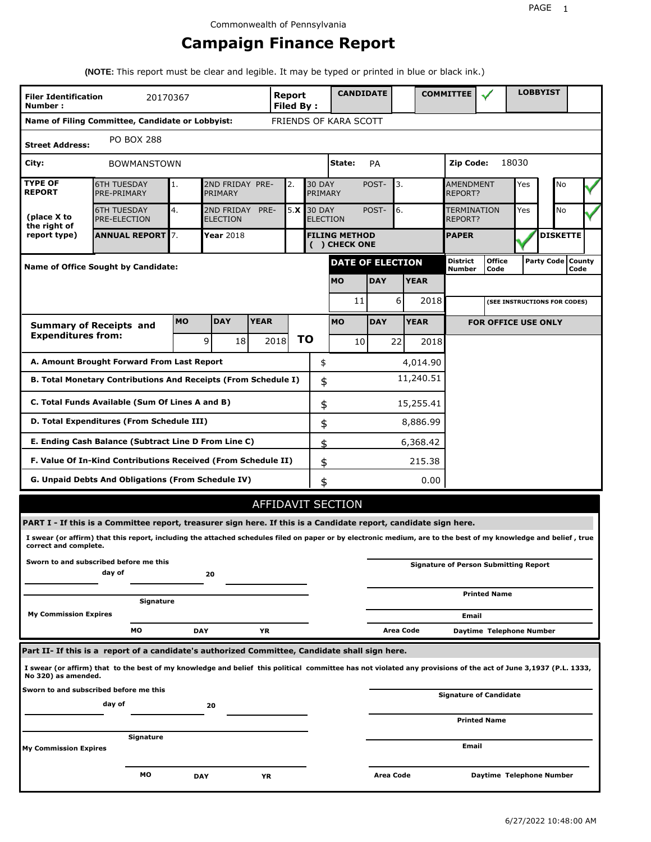# **Campaign Finance Report**

**(NOTE:** This report must be clear and legible. It may be typed or printed in blue or black ink.)

| <b>Filer Identification</b><br>Number: |                                                                                                                                                                                                                                                                  | 20170367   |                               |             | Report<br><b>Filed By:</b> |               |                                       |    | <b>CANDIDATE</b>        |             |           | <b>COMMITTEE</b>            |                                              |       | <b>LOBBYIST</b>     |      |  |
|----------------------------------------|------------------------------------------------------------------------------------------------------------------------------------------------------------------------------------------------------------------------------------------------------------------|------------|-------------------------------|-------------|----------------------------|---------------|---------------------------------------|----|-------------------------|-------------|-----------|-----------------------------|----------------------------------------------|-------|---------------------|------|--|
|                                        | Name of Filing Committee, Candidate or Lobbyist:                                                                                                                                                                                                                 |            |                               |             | FRIENDS OF KARA SCOTT      |               |                                       |    |                         |             |           |                             |                                              |       |                     |      |  |
| <b>Street Address:</b>                 | <b>PO BOX 288</b>                                                                                                                                                                                                                                                |            |                               |             |                            |               |                                       |    |                         |             |           |                             |                                              |       |                     |      |  |
| City:                                  | <b>BOWMANSTOWN</b>                                                                                                                                                                                                                                               |            |                               |             |                            |               | State:                                |    | PA                      |             |           | Zip Code:                   |                                              | 18030 |                     |      |  |
| <b>TYPE OF</b><br><b>REPORT</b>        | <b>6TH TUESDAY</b><br>PRE-PRIMARY                                                                                                                                                                                                                                | 1.         | 2ND FRIDAY PRE-<br>PRIMARY    |             | 2.                         |               | <b>30 DAY</b><br>PRIMARY              |    | POST-                   | 3.          |           | <b>AMENDMENT</b><br>REPORT? |                                              | Yes   | No                  |      |  |
| (place X to<br>the right of            | <b>6TH TUESDAY</b><br><b>PRE-ELECTION</b>                                                                                                                                                                                                                        | 4.         | 2ND FRIDAY<br><b>ELECTION</b> | PRE-        | 5.X                        | <b>30 DAY</b> | <b>ELECTION</b>                       |    | POST-                   | 6.          |           | TERMINATION<br>REPORT?      |                                              | Yes   | <b>No</b>           |      |  |
| report type)                           | <b>ANNUAL REPORT 7.</b>                                                                                                                                                                                                                                          |            | <b>Year 2018</b>              |             |                            |               | <b>FILING METHOD</b><br>( ) CHECK ONE |    |                         |             |           | <b>PAPER</b>                |                                              |       | <b>DISKETTE</b>     |      |  |
|                                        | <b>Name of Office Sought by Candidate:</b>                                                                                                                                                                                                                       |            |                               |             |                            |               |                                       |    | <b>DATE OF ELECTION</b> |             |           | District<br>Number          | <b>Office</b><br>Code                        |       | Party Code   County | Code |  |
|                                        |                                                                                                                                                                                                                                                                  |            |                               |             |                            |               | <b>MO</b>                             |    | <b>DAY</b>              | <b>YEAR</b> |           |                             |                                              |       |                     |      |  |
|                                        |                                                                                                                                                                                                                                                                  |            |                               |             |                            |               |                                       | 11 |                         | 6           | 2018      |                             | (SEE INSTRUCTIONS FOR CODES)                 |       |                     |      |  |
|                                        | <b>Summary of Receipts and</b>                                                                                                                                                                                                                                   | <b>MO</b>  | <b>DAY</b>                    | <b>YEAR</b> |                            |               | <b>MO</b>                             |    | <b>DAY</b>              | <b>YEAR</b> |           |                             | <b>FOR OFFICE USE ONLY</b>                   |       |                     |      |  |
| <b>Expenditures from:</b>              |                                                                                                                                                                                                                                                                  |            | 9<br>18                       |             | 2018                       | ΤO            |                                       | 10 |                         | 22          | 2018      |                             |                                              |       |                     |      |  |
|                                        | A. Amount Brought Forward From Last Report                                                                                                                                                                                                                       |            |                               |             |                            |               | \$                                    |    |                         |             | 4,014.90  |                             |                                              |       |                     |      |  |
|                                        | B. Total Monetary Contributions And Receipts (From Schedule I)                                                                                                                                                                                                   |            |                               |             |                            |               | \$                                    |    |                         |             | 11,240.51 |                             |                                              |       |                     |      |  |
|                                        | C. Total Funds Available (Sum Of Lines A and B)                                                                                                                                                                                                                  |            |                               |             |                            |               | \$                                    |    |                         |             | 15,255.41 |                             |                                              |       |                     |      |  |
|                                        | D. Total Expenditures (From Schedule III)                                                                                                                                                                                                                        |            |                               |             |                            |               | \$                                    |    |                         |             | 8,886.99  |                             |                                              |       |                     |      |  |
|                                        | E. Ending Cash Balance (Subtract Line D From Line C)                                                                                                                                                                                                             |            |                               |             |                            |               | \$                                    |    |                         |             | 6,368.42  |                             |                                              |       |                     |      |  |
|                                        | F. Value Of In-Kind Contributions Received (From Schedule II)                                                                                                                                                                                                    |            |                               |             |                            |               | \$                                    |    |                         |             | 215.38    |                             |                                              |       |                     |      |  |
|                                        | <b>G. Unpaid Debts And Obligations (From Schedule IV)</b>                                                                                                                                                                                                        |            |                               |             |                            |               | \$                                    |    |                         |             | 0.00      |                             |                                              |       |                     |      |  |
|                                        |                                                                                                                                                                                                                                                                  |            |                               |             | AFFIDAVIT SECTION          |               |                                       |    |                         |             |           |                             |                                              |       |                     |      |  |
|                                        | PART I - If this is a Committee report, treasurer sign here. If this is a Candidate report, candidate sign here.                                                                                                                                                 |            |                               |             |                            |               |                                       |    |                         |             |           |                             |                                              |       |                     |      |  |
| correct and complete.                  | I swear (or affirm) that this report, including the attached schedules filed on paper or by electronic medium, are to the best of my knowledge and belief, true                                                                                                  |            |                               |             |                            |               |                                       |    |                         |             |           |                             |                                              |       |                     |      |  |
|                                        | Sworn to and subscribed before me this<br>day of                                                                                                                                                                                                                 |            | 20                            |             |                            |               |                                       |    |                         |             |           |                             | <b>Signature of Person Submitting Report</b> |       |                     |      |  |
|                                        | Signature                                                                                                                                                                                                                                                        |            |                               |             |                            |               |                                       |    |                         |             |           |                             | <b>Printed Name</b>                          |       |                     |      |  |
| <b>My Commission Expires</b>           |                                                                                                                                                                                                                                                                  |            |                               |             |                            |               |                                       |    |                         |             |           | Email                       |                                              |       |                     |      |  |
|                                        | МO                                                                                                                                                                                                                                                               | <b>DAY</b> |                               | ΥR          |                            |               |                                       |    |                         | Area Code   |           |                             | Daytime Telephone Number                     |       |                     |      |  |
| No 320) as amended.                    | Part II- If this is a report of a candidate's authorized Committee, Candidate shall sign here.<br>I swear (or affirm) that to the best of my knowledge and belief this political committee has not violated any provisions of the act of June 3,1937 (P.L. 1333, |            |                               |             |                            |               |                                       |    |                         |             |           |                             |                                              |       |                     |      |  |
|                                        | Sworn to and subscribed before me this                                                                                                                                                                                                                           |            |                               |             |                            |               |                                       |    |                         |             |           |                             | <b>Signature of Candidate</b>                |       |                     |      |  |
|                                        | day of                                                                                                                                                                                                                                                           |            | 20                            |             |                            |               |                                       |    |                         |             |           |                             |                                              |       |                     |      |  |
|                                        |                                                                                                                                                                                                                                                                  |            |                               |             |                            |               |                                       |    |                         |             |           |                             | <b>Printed Name</b>                          |       |                     |      |  |
| <b>My Commission Expires</b>           | Signature                                                                                                                                                                                                                                                        |            |                               |             |                            |               |                                       |    |                         |             |           | Email                       |                                              |       |                     |      |  |
|                                        | мо                                                                                                                                                                                                                                                               | <b>DAY</b> |                               | ΥR          |                            |               |                                       |    | Area Code               |             |           |                             | Daytime Telephone Number                     |       |                     |      |  |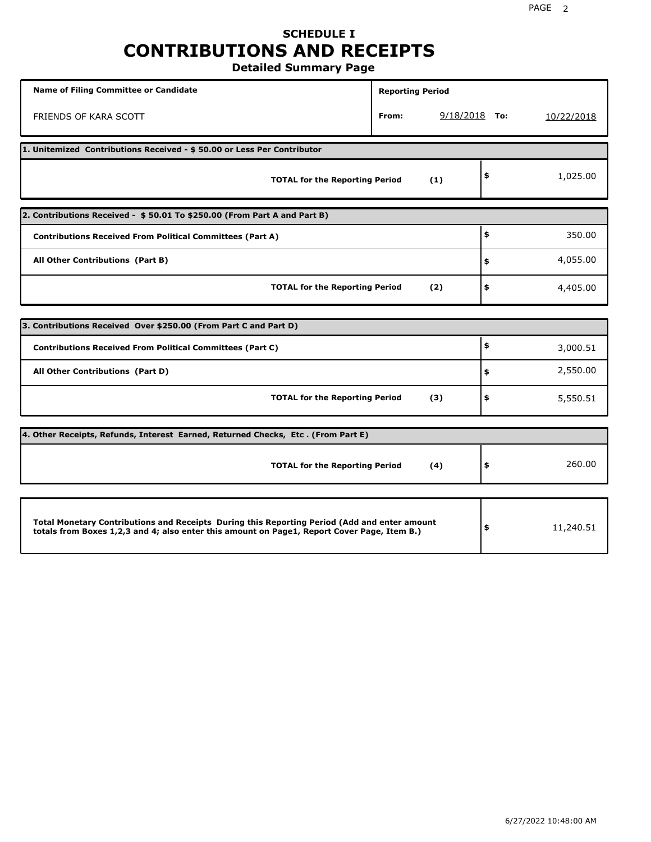### **SCHEDULE I CONTRIBUTIONS AND RECEIPTS Detailed Summary Page**

**Name of Filing Committee or Candidate Reporting Period Reporting Period** FRIENDS OF KARA SCOTT **From:** 9/18/2018 **To:** 10/22/2018 **1. Unitemized Contributions Received - \$ 50.00 or Less Per Contributor TOTAL for the Reporting Period (1) \$** 1,025.00 **2. Contributions Received - \$ 50.01 To \$250.00 (From Part A and Part B) TOTAL for the Reporting Period (2) Contributions Received From Political Committees (Part A) All Other Contributions (Part B) \$ \$ \$** 350.00 4,055.00 4,405.00 **3. Contributions Received Over \$250.00 (From Part C and Part D) TOTAL for the Reporting Period (3) Contributions Received From Political Committees (Part C) All Other Contributions (Part D) \$ \$ \$** 3,000.51 2,550.00 5,550.51 **4. Other Receipts, Refunds, Interest Earned, Returned Checks, Etc . (From Part E) TOTAL for the Reporting Period (4) \$** 260.00 **Total Monetary Contributions and Receipts During this Reporting Period (Add and enter amount totals from Boxes 1,2,3 and 4; also enter this amount on Page1, Report Cover Page, Item B.) \$** 11,240.51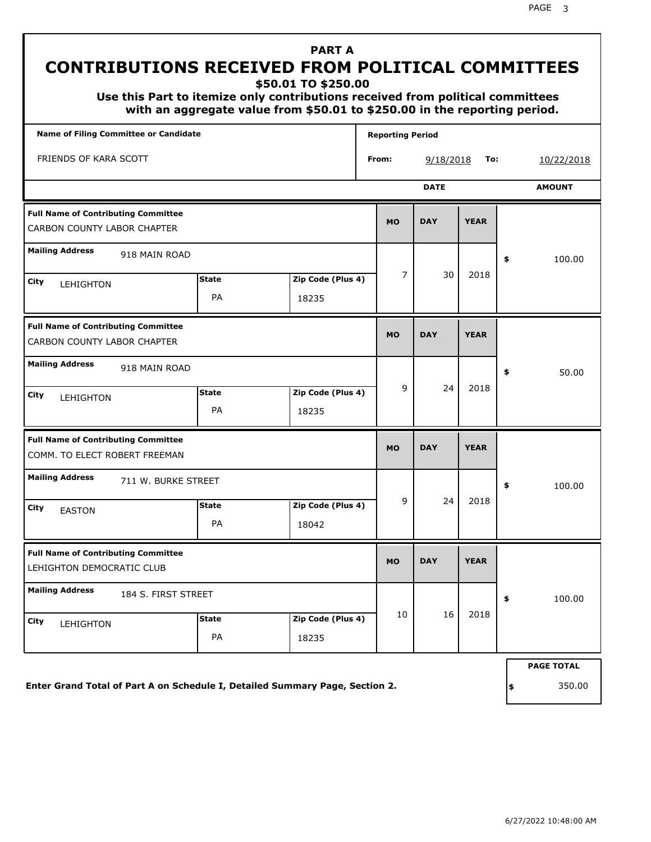PAGE 3

#### **Name of Filing Committee or Candidate Reporting Period Reporting Period** FRIENDS OF KARA SCOTT **From:** 9/18/2018 **To:** 10/22/2018  **PART A CONTRIBUTIONS RECEIVED FROM POLITICAL COMMITTEES \$50.01 TO \$250.00 Use this Part to itemize only contributions received from political committees with an aggregate value from \$50.01 to \$250.00 in the reporting period. DATE AMOUNT MO DAY YEAR Mailing Address City State Zip Code (Plus 4) City \$ Full Name of Contributing Committee** CARBON COUNTY LABOR CHAPTER 918 MAIN ROAD LEHIGHTON PA 18235 100.00 7 30 2018 **MO DAY YEAR Mailing Address** City **State Zip Code (Plus 4)** State **Zip Code (Plus 4) \$ Full Name of Contributing Committee** CARBON COUNTY LABOR CHAPTER 918 MAIN ROAD LEHIGHTON PA 18235 50.00 9 24 2018 **MO DAY YEAR Mailing Address** City **FASTON State Zip Code (Plus 4) \$ Full Name of Contributing Committee** COMM. TO ELECT ROBERT FREEMAN 711 W. BURKE STREET EASTON PA 18042 100.00 9 24 2018 **MO DAY YEAR Mailing Address** City **State Zip Code (Plus 4)** State **Zip Code (Plus 4) \$ Full Name of Contributing Committee** LEHIGHTON DEMOCRATIC CLUB 184 S. FIRST STREET LEHIGHTON PA 18235 100.00 10 16 2018

**Enter Grand Total of Part A on Schedule I, Detailed Summary Page, Section 2.**

**PAGE TOTAL**

**\$** 350.00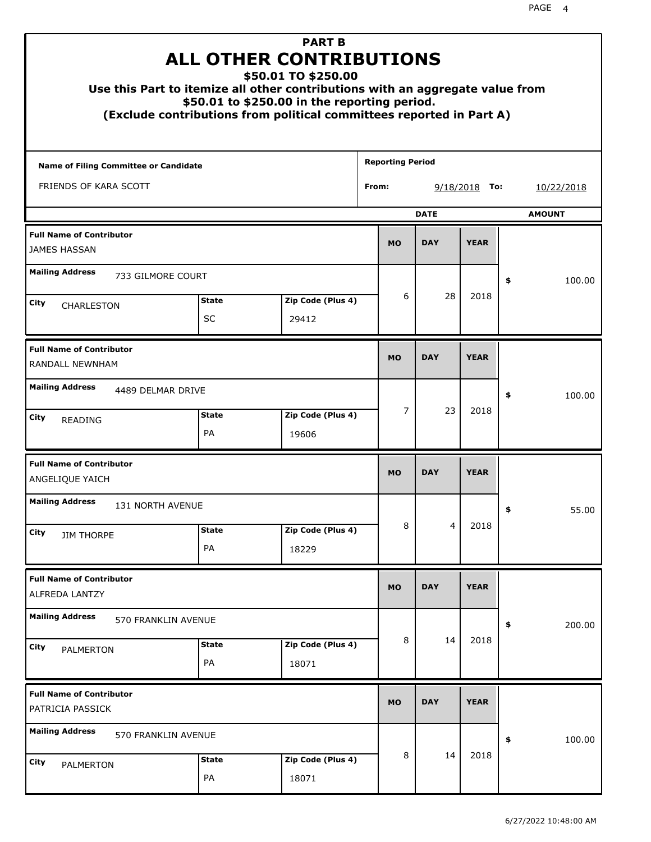|                                                        |                    | <b>PART B</b><br>ALL OTHER CONTRIBUTIONS<br>\$50.01 TO \$250.00<br>Use this Part to itemize all other contributions with an aggregate value from<br>\$50.01 to \$250.00 in the reporting period.<br>(Exclude contributions from political committees reported in Part A) |                         |             |                 |               |       |
|--------------------------------------------------------|--------------------|--------------------------------------------------------------------------------------------------------------------------------------------------------------------------------------------------------------------------------------------------------------------------|-------------------------|-------------|-----------------|---------------|-------|
| <b>Name of Filing Committee or Candidate</b>           |                    |                                                                                                                                                                                                                                                                          | <b>Reporting Period</b> |             |                 |               |       |
| FRIENDS OF KARA SCOTT                                  | From:              |                                                                                                                                                                                                                                                                          |                         |             | $9/18/2018$ To: | 10/22/2018    |       |
|                                                        |                    |                                                                                                                                                                                                                                                                          |                         | <b>DATE</b> |                 | <b>AMOUNT</b> |       |
| <b>Full Name of Contributor</b><br><b>JAMES HASSAN</b> |                    |                                                                                                                                                                                                                                                                          | <b>MO</b>               | <b>DAY</b>  | <b>YEAR</b>     |               |       |
| <b>Mailing Address</b><br>733 GILMORE COURT            |                    |                                                                                                                                                                                                                                                                          |                         |             |                 | \$<br>100.00  |       |
| City<br>CHARLESTON                                     | <b>State</b>       | Zip Code (Plus 4)                                                                                                                                                                                                                                                        | 6                       | 28          | 2018            |               |       |
|                                                        | <b>SC</b>          | 29412                                                                                                                                                                                                                                                                    |                         |             |                 |               |       |
| <b>Full Name of Contributor</b><br>RANDALL NEWNHAM     |                    |                                                                                                                                                                                                                                                                          | <b>MO</b>               | <b>DAY</b>  | <b>YEAR</b>     |               |       |
| <b>Mailing Address</b><br>4489 DELMAR DRIVE            |                    |                                                                                                                                                                                                                                                                          |                         |             |                 | \$<br>100.00  |       |
| City<br>READING                                        | <b>State</b><br>PA | Zip Code (Plus 4)<br>19606                                                                                                                                                                                                                                               | 7                       | 23          | 2018            |               |       |
| <b>Full Name of Contributor</b><br>ANGELIQUE YAICH     |                    |                                                                                                                                                                                                                                                                          | <b>MO</b>               | <b>DAY</b>  | <b>YEAR</b>     |               |       |
| <b>Mailing Address</b><br>131 NORTH AVENUE             |                    |                                                                                                                                                                                                                                                                          |                         |             |                 | ÷,            | 55.00 |
| City<br><b>JIM THORPE</b>                              | <b>State</b>       | Zip Code (Plus 4)                                                                                                                                                                                                                                                        | 8                       | 4           | 2018            |               |       |
|                                                        | PA                 | 18229                                                                                                                                                                                                                                                                    |                         |             |                 |               |       |
| <b>Full Name of Contributor</b><br>ALFREDA LANTZY      |                    |                                                                                                                                                                                                                                                                          | <b>MO</b>               | <b>DAY</b>  | <b>YEAR</b>     |               |       |
| <b>Mailing Address</b><br>570 FRANKLIN AVENUE          |                    |                                                                                                                                                                                                                                                                          |                         |             |                 | \$<br>200.00  |       |
| City<br>PALMERTON                                      | <b>State</b><br>PA | Zip Code (Plus 4)<br>18071                                                                                                                                                                                                                                               | 8                       | 14          | 2018            |               |       |
| <b>Full Name of Contributor</b><br>PATRICIA PASSICK    |                    |                                                                                                                                                                                                                                                                          | <b>MO</b>               | <b>DAY</b>  | <b>YEAR</b>     |               |       |
| <b>Mailing Address</b><br>570 FRANKLIN AVENUE          |                    |                                                                                                                                                                                                                                                                          |                         |             |                 | \$<br>100.00  |       |
| City<br>PALMERTON                                      | <b>State</b>       | Zip Code (Plus 4)                                                                                                                                                                                                                                                        | 8                       | 14          | 2018            |               |       |
|                                                        | PA                 | 18071                                                                                                                                                                                                                                                                    |                         |             |                 |               |       |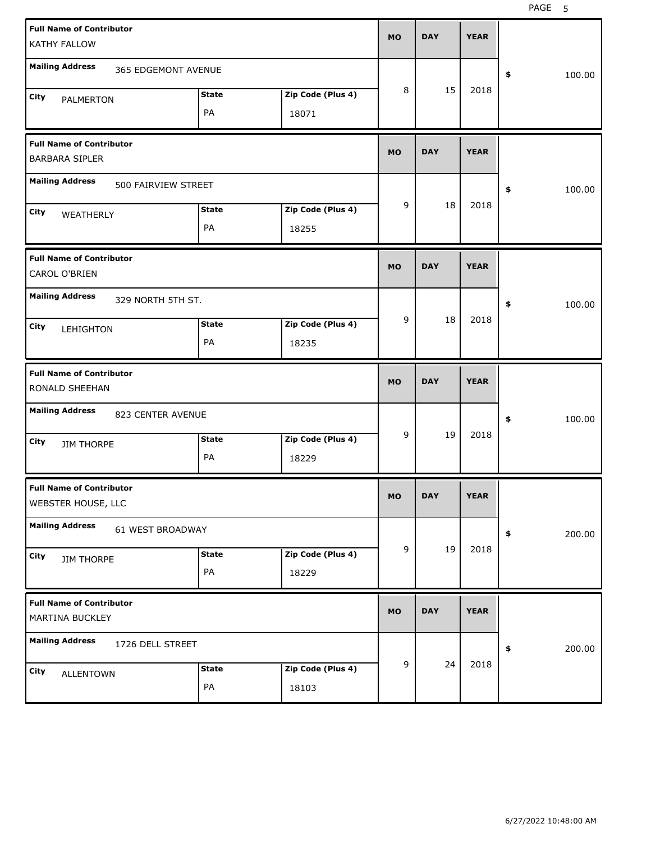| <b>Full Name of Contributor</b><br><b>KATHY FALLOW</b>   |                     |                            | <b>MO</b> | <b>DAY</b> | <b>YEAR</b> |              |
|----------------------------------------------------------|---------------------|----------------------------|-----------|------------|-------------|--------------|
| <b>Mailing Address</b>                                   | 365 EDGEMONT AVENUE |                            |           |            |             | \$<br>100.00 |
| <b>City</b><br>PALMERTON                                 | <b>State</b><br>PA  | Zip Code (Plus 4)<br>18071 | 8         | 15         | 2018        |              |
| <b>Full Name of Contributor</b><br><b>BARBARA SIPLER</b> |                     |                            | <b>MO</b> | <b>DAY</b> | <b>YEAR</b> |              |
| <b>Mailing Address</b>                                   | 500 FAIRVIEW STREET |                            |           |            |             | 100.00<br>\$ |
| <b>City</b><br>WEATHERLY                                 | <b>State</b><br>PA  | Zip Code (Plus 4)<br>18255 | 9         | 18         | 2018        |              |
| <b>Full Name of Contributor</b><br>CAROL O'BRIEN         |                     |                            | <b>MO</b> | <b>DAY</b> | <b>YEAR</b> |              |
| <b>Mailing Address</b><br>329 NORTH 5TH ST.              |                     |                            | 9         | 18         | 2018        | 100.00<br>\$ |
| City<br>LEHIGHTON                                        | <b>State</b><br>PA  | Zip Code (Plus 4)<br>18235 |           |            |             |              |
|                                                          |                     |                            |           |            |             |              |
| <b>Full Name of Contributor</b><br>RONALD SHEEHAN        |                     |                            | <b>MO</b> | <b>DAY</b> | <b>YEAR</b> |              |
| <b>Mailing Address</b><br>823 CENTER AVENUE              |                     |                            |           |            |             | 100.00<br>\$ |
| <b>City</b><br><b>JIM THORPE</b>                         | <b>State</b><br>PA  | Zip Code (Plus 4)<br>18229 | 9         | 19         | 2018        |              |
| <b>Full Name of Contributor</b><br>WEBSTER HOUSE, LLC    |                     |                            | MO        | <b>DAY</b> | <b>YEAR</b> |              |
| <b>Mailing Address</b><br>61 WEST BROADWAY               |                     |                            |           |            |             | 200.00<br>\$ |
| City<br><b>JIM THORPE</b>                                | <b>State</b><br>PA  | Zip Code (Plus 4)<br>18229 | 9         | 19         | 2018        |              |
| <b>Full Name of Contributor</b><br>MARTINA BUCKLEY       |                     |                            | <b>MO</b> | <b>DAY</b> | <b>YEAR</b> |              |
| <b>Mailing Address</b><br>1726 DELL STREET               |                     |                            | 9         | 24         | 2018        | 200.00<br>\$ |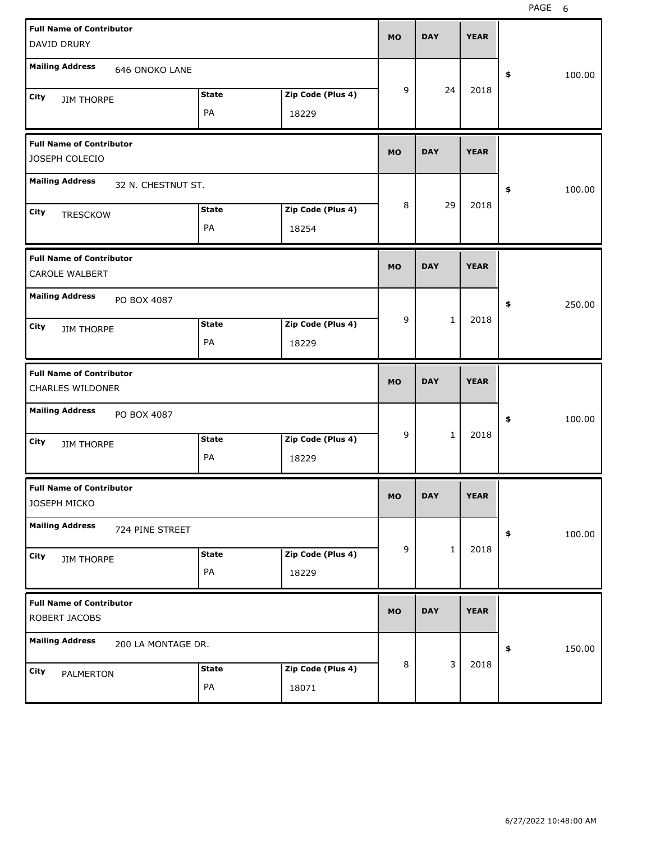| <b>Full Name of Contributor</b><br>DAVID DRURY           | <b>MO</b>              | <b>DAY</b>   | <b>YEAR</b> |              |
|----------------------------------------------------------|------------------------|--------------|-------------|--------------|
| <b>Mailing Address</b><br>646 ONOKO LANE                 |                        |              |             | \$<br>100.00 |
| <b>State</b><br>City<br><b>JIM THORPE</b><br>PA<br>18229 | 9<br>Zip Code (Plus 4) | 24           | 2018        |              |
| <b>Full Name of Contributor</b><br>JOSEPH COLECIO        | <b>MO</b>              | <b>DAY</b>   | <b>YEAR</b> |              |
| <b>Mailing Address</b><br>32 N. CHESTNUT ST.             |                        |              |             | \$<br>100.00 |
| <b>State</b><br>City<br><b>TRESCKOW</b><br>PA<br>18254   | 8<br>Zip Code (Plus 4) | 29           | 2018        |              |
| <b>Full Name of Contributor</b><br>CAROLE WALBERT        | <b>MO</b>              | <b>DAY</b>   | <b>YEAR</b> |              |
| <b>Mailing Address</b><br>PO BOX 4087                    |                        |              |             | \$<br>250.00 |
| <b>State</b><br>City<br><b>JIM THORPE</b><br>PA<br>18229 | 9<br>Zip Code (Plus 4) | $\mathbf{1}$ | 2018        |              |
|                                                          |                        |              |             |              |
| <b>Full Name of Contributor</b><br>CHARLES WILDONER      | <b>MO</b>              | <b>DAY</b>   | <b>YEAR</b> |              |
| <b>Mailing Address</b><br>PO BOX 4087                    |                        |              |             | \$<br>100.00 |
| <b>State</b><br>City<br><b>JIM THORPE</b><br>PA<br>18229 | 9<br>Zip Code (Plus 4) | $\mathbf{1}$ | 2018        |              |
| <b>Full Name of Contributor</b><br>JOSEPH MICKO          | <b>MO</b>              | <b>DAY</b>   | <b>YEAR</b> |              |
| <b>Mailing Address</b><br>724 PINE STREET                |                        |              |             | 100.00<br>\$ |
| <b>State</b><br>City<br><b>JIM THORPE</b><br>PA<br>18229 | 9<br>Zip Code (Plus 4) | $\mathbf{1}$ | 2018        |              |
| <b>Full Name of Contributor</b><br>ROBERT JACOBS         | <b>MO</b>              | <b>DAY</b>   | <b>YEAR</b> |              |
| <b>Mailing Address</b><br>200 LA MONTAGE DR.             | 8                      | 3            | 2018        | \$<br>150.00 |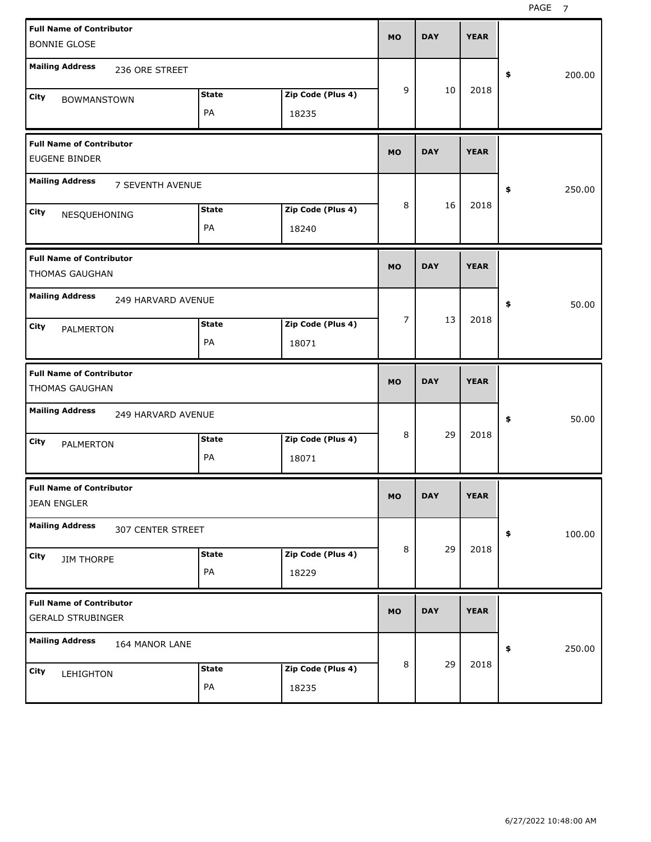| <b>Full Name of Contributor</b><br><b>BONNIE GLOSE</b>                                         |                            | <b>MO</b> | <b>DAY</b> | <b>YEAR</b> |              |
|------------------------------------------------------------------------------------------------|----------------------------|-----------|------------|-------------|--------------|
| <b>Mailing Address</b><br>236 ORE STREET                                                       |                            |           |            |             | 200.00<br>\$ |
| <b>State</b><br><b>City</b><br><b>BOWMANSTOWN</b><br>PA                                        | Zip Code (Plus 4)<br>18235 | 9         | 10         | 2018        |              |
| <b>Full Name of Contributor</b><br><b>EUGENE BINDER</b>                                        |                            | <b>MO</b> | <b>DAY</b> | <b>YEAR</b> |              |
| <b>Mailing Address</b><br>7 SEVENTH AVENUE                                                     |                            |           |            |             | \$<br>250.00 |
| <b>State</b><br>City<br>NESQUEHONING<br>PA                                                     | Zip Code (Plus 4)<br>18240 | 8         | 16         | 2018        |              |
| <b>Full Name of Contributor</b><br><b>THOMAS GAUGHAN</b>                                       |                            | <b>MO</b> | <b>DAY</b> | <b>YEAR</b> |              |
| <b>Mailing Address</b><br>249 HARVARD AVENUE<br><b>State</b><br><b>City</b><br>PALMERTON<br>PA | Zip Code (Plus 4)<br>18071 | 7         | 13         | 2018        | \$<br>50.00  |
|                                                                                                |                            |           |            |             |              |
| <b>Full Name of Contributor</b><br>THOMAS GAUGHAN                                              |                            | <b>MO</b> | <b>DAY</b> | <b>YEAR</b> |              |
| <b>Mailing Address</b><br>249 HARVARD AVENUE                                                   |                            |           |            |             | \$<br>50.00  |
| <b>State</b><br><b>City</b><br>PALMERTON<br>PA                                                 | Zip Code (Plus 4)<br>18071 | 8         | 29         | 2018        |              |
| <b>Full Name of Contributor</b><br><b>JEAN ENGLER</b>                                          |                            | <b>MO</b> | <b>DAY</b> | <b>YEAR</b> |              |
| <b>Mailing Address</b><br>307 CENTER STREET                                                    |                            |           |            |             | \$<br>100.00 |
| <b>State</b><br>City<br><b>JIM THORPE</b><br>PA                                                | Zip Code (Plus 4)<br>18229 | 8         | 29         | 2018        |              |
| <b>Full Name of Contributor</b><br><b>GERALD STRUBINGER</b>                                    |                            | <b>MO</b> | <b>DAY</b> | <b>YEAR</b> |              |
| <b>Mailing Address</b><br>164 MANOR LANE                                                       |                            |           | 29         | 2018        | 250.00<br>\$ |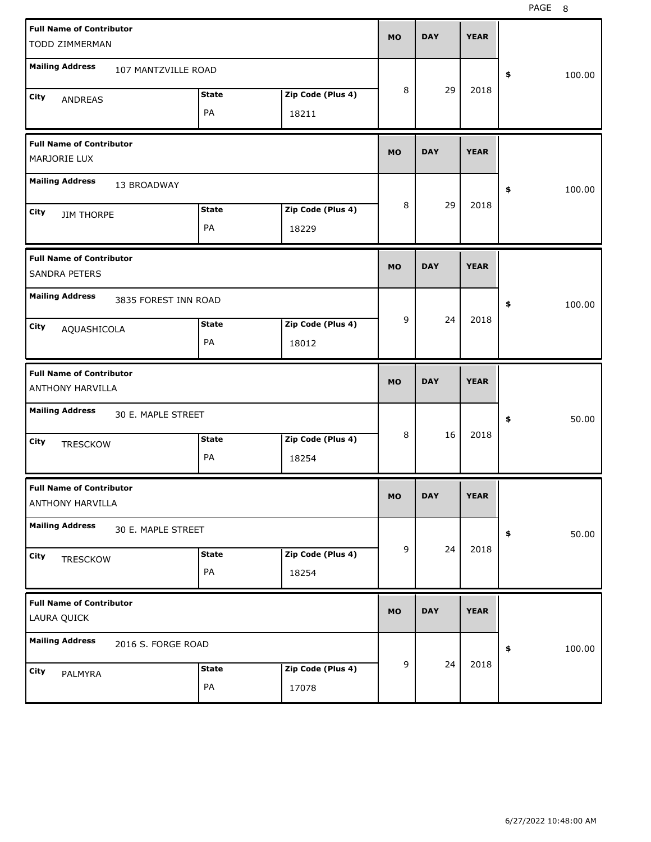| <b>Full Name of Contributor</b><br>TODD ZIMMERMAN   |              |                   | <b>MO</b> | <b>DAY</b> | <b>YEAR</b> |              |
|-----------------------------------------------------|--------------|-------------------|-----------|------------|-------------|--------------|
| <b>Mailing Address</b><br>107 MANTZVILLE ROAD       |              |                   |           |            |             | \$<br>100.00 |
| City<br>ANDREAS                                     | <b>State</b> | Zip Code (Plus 4) | 8         | 29         | 2018        |              |
|                                                     | PA           | 18211             |           |            |             |              |
| <b>Full Name of Contributor</b><br>MARJORIE LUX     |              |                   | <b>MO</b> | <b>DAY</b> | <b>YEAR</b> |              |
| <b>Mailing Address</b><br>13 BROADWAY               |              |                   |           |            |             | \$<br>100.00 |
| City<br><b>JIM THORPE</b>                           | <b>State</b> | Zip Code (Plus 4) | 8         | 29         | 2018        |              |
|                                                     | PA           | 18229             |           |            |             |              |
| <b>Full Name of Contributor</b><br>SANDRA PETERS    |              |                   | <b>MO</b> | <b>DAY</b> | <b>YEAR</b> |              |
| <b>Mailing Address</b><br>3835 FOREST INN ROAD      |              |                   |           |            |             | \$<br>100.00 |
| City<br>AQUASHICOLA                                 | <b>State</b> | Zip Code (Plus 4) | 9         | 24         | 2018        |              |
|                                                     | PA           | 18012             |           |            |             |              |
|                                                     |              |                   |           |            |             |              |
| <b>Full Name of Contributor</b><br>ANTHONY HARVILLA |              |                   | <b>MO</b> | <b>DAY</b> | <b>YEAR</b> |              |
| <b>Mailing Address</b><br>30 E. MAPLE STREET        |              |                   |           |            |             | \$<br>50.00  |
| City<br><b>TRESCKOW</b>                             | <b>State</b> | Zip Code (Plus 4) | 8         | 16         | 2018        |              |
|                                                     | PA           | 18254             |           |            |             |              |
| <b>Full Name of Contributor</b><br>ANTHONY HARVILLA |              |                   | <b>MO</b> | <b>DAY</b> | <b>YEAR</b> |              |
| <b>Mailing Address</b><br>30 E. MAPLE STREET        |              |                   |           |            |             | 50.00<br>\$  |
| City                                                | <b>State</b> | Zip Code (Plus 4) | 9         | 24         | 2018        |              |
| <b>TRESCKOW</b>                                     | PA           | 18254             |           |            |             |              |
| <b>Full Name of Contributor</b><br>LAURA QUICK      |              |                   | <b>MO</b> | <b>DAY</b> | <b>YEAR</b> |              |
| <b>Mailing Address</b><br>2016 S. FORGE ROAD        |              |                   |           |            |             | 100.00<br>\$ |
| City<br>PALMYRA                                     | <b>State</b> | Zip Code (Plus 4) | 9         | 24         | 2018        |              |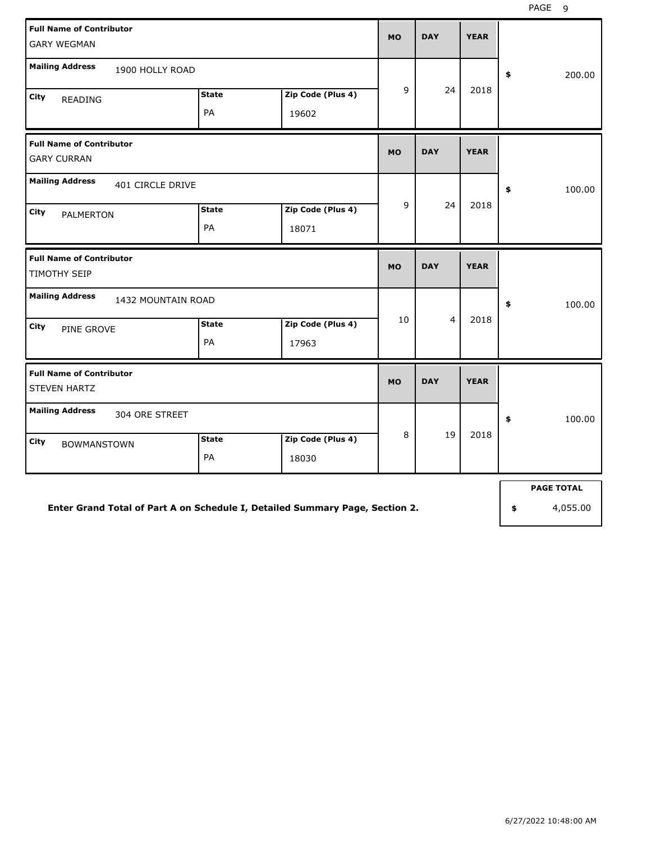| <b>Full Name of Contributor</b><br><b>GARY WEGMAN</b>  |                    |                            | <b>MO</b> | <b>DAY</b>     | <b>YEAR</b> |              |
|--------------------------------------------------------|--------------------|----------------------------|-----------|----------------|-------------|--------------|
| <b>Mailing Address</b><br>1900 HOLLY ROAD              |                    |                            |           |                |             | \$<br>200.00 |
| City<br><b>READING</b>                                 | <b>State</b><br>PA | Zip Code (Plus 4)<br>19602 | 9         | 24             | 2018        |              |
| <b>Full Name of Contributor</b><br><b>GARY CURRAN</b>  |                    |                            | <b>MO</b> | <b>DAY</b>     | <b>YEAR</b> |              |
| <b>Mailing Address</b><br>401 CIRCLE DRIVE             |                    |                            |           |                |             | \$<br>100.00 |
| City<br><b>PALMERTON</b>                               | <b>State</b><br>PA | Zip Code (Plus 4)<br>18071 | 9         | 24             | 2018        |              |
| <b>Full Name of Contributor</b><br><b>TIMOTHY SEIP</b> |                    |                            | <b>MO</b> | <b>DAY</b>     | <b>YEAR</b> |              |
| <b>Mailing Address</b><br>1432 MOUNTAIN ROAD           |                    |                            |           |                |             | \$<br>100.00 |
| City<br>PINE GROVE                                     | <b>State</b><br>PA | Zip Code (Plus 4)<br>17963 | 10        | $\overline{4}$ | 2018        |              |
| <b>Full Name of Contributor</b><br><b>STEVEN HARTZ</b> |                    |                            | <b>MO</b> | <b>DAY</b>     | <b>YEAR</b> |              |
| <b>Mailing Address</b><br>304 ORE STREET               |                    |                            |           |                |             | 100.00<br>\$ |
| City<br><b>BOWMANSTOWN</b>                             | <b>State</b><br>PA | Zip Code (Plus 4)<br>18030 | 8         | 19             | 2018        |              |

**PAGE TOTAL**

**Enter Grand Total of Part A on Schedule I, Detailed Summary Page, Section 2.**

**\$** 4,055.00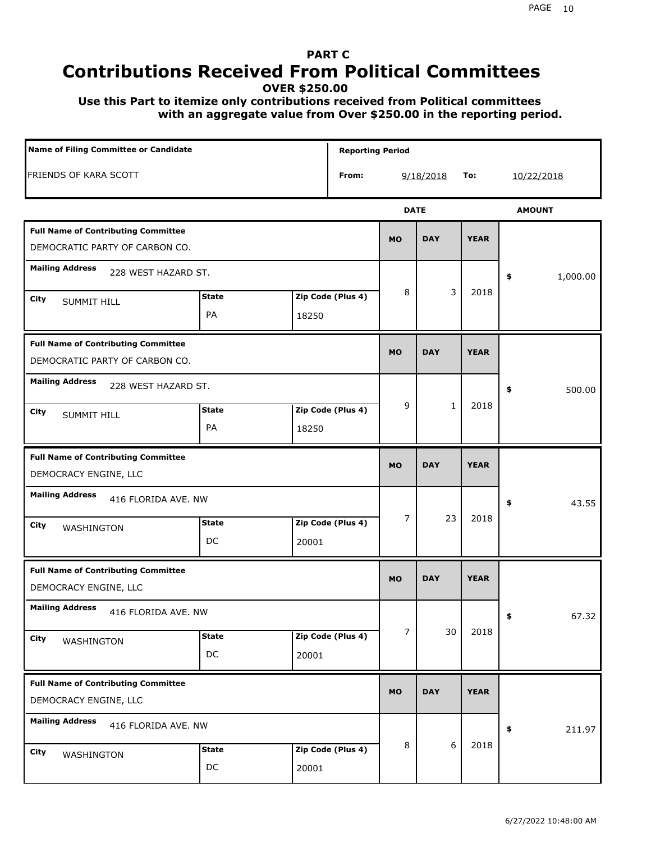# **PART C Contributions Received From Political Committees**

**OVER \$250.00**

 **Use this Part to itemize only contributions received from Political committees with an aggregate value from Over \$250.00 in the reporting period.**

| Name of Filing Committee or Candidate                                        |                    |       | <b>Reporting Period</b> |                |              |             |                |
|------------------------------------------------------------------------------|--------------------|-------|-------------------------|----------------|--------------|-------------|----------------|
| <b>FRIENDS OF KARA SCOTT</b>                                                 |                    |       | From:                   |                | 9/18/2018    | To:         | 10/22/2018     |
|                                                                              |                    |       |                         | <b>DATE</b>    |              |             | <b>AMOUNT</b>  |
| <b>Full Name of Contributing Committee</b><br>DEMOCRATIC PARTY OF CARBON CO. |                    |       |                         | <b>MO</b>      | <b>DAY</b>   | <b>YEAR</b> |                |
| <b>Mailing Address</b><br>228 WEST HAZARD ST.                                |                    |       |                         |                |              |             | \$<br>1,000.00 |
| City<br><b>SUMMIT HILL</b>                                                   | <b>State</b><br>PA | 18250 | Zip Code (Plus 4)       | 8              | 3            | 2018        |                |
| <b>Full Name of Contributing Committee</b><br>DEMOCRATIC PARTY OF CARBON CO. |                    |       |                         | <b>MO</b>      | <b>DAY</b>   | <b>YEAR</b> |                |
| <b>Mailing Address</b><br>228 WEST HAZARD ST.<br>City<br><b>SUMMIT HILL</b>  | <b>State</b><br>PA | 18250 | Zip Code (Plus 4)       | 9              | $\mathbf{1}$ | 2018        | 500.00<br>\$   |
| <b>Full Name of Contributing Committee</b><br>DEMOCRACY ENGINE, LLC          |                    |       |                         | <b>MO</b>      | <b>DAY</b>   | <b>YEAR</b> |                |
| <b>Mailing Address</b><br>416 FLORIDA AVE. NW<br>City<br>WASHINGTON          | <b>State</b><br>DC | 20001 | Zip Code (Plus 4)       | $\overline{7}$ | 23           | 2018        | 43.55<br>\$    |
| <b>Full Name of Contributing Committee</b><br>DEMOCRACY ENGINE, LLC          |                    |       |                         | <b>MO</b>      | <b>DAY</b>   | <b>YEAR</b> |                |
| <b>Mailing Address</b><br>416 FLORIDA AVE. NW<br>City<br>WASHINGTON          | <b>State</b><br>DC | 20001 | Zip Code (Plus 4)       | $\overline{7}$ | 30           | 2018        | 67.32<br>÷,    |
| <b>Full Name of Contributing Committee</b><br>DEMOCRACY ENGINE, LLC          |                    |       |                         | <b>MO</b>      | <b>DAY</b>   | <b>YEAR</b> |                |
| <b>Mailing Address</b><br>416 FLORIDA AVE. NW<br><b>City</b><br>WASHINGTON   | <b>State</b><br>DC | 20001 | Zip Code (Plus 4)       | 8              | 6            | 2018        | 211.97<br>\$   |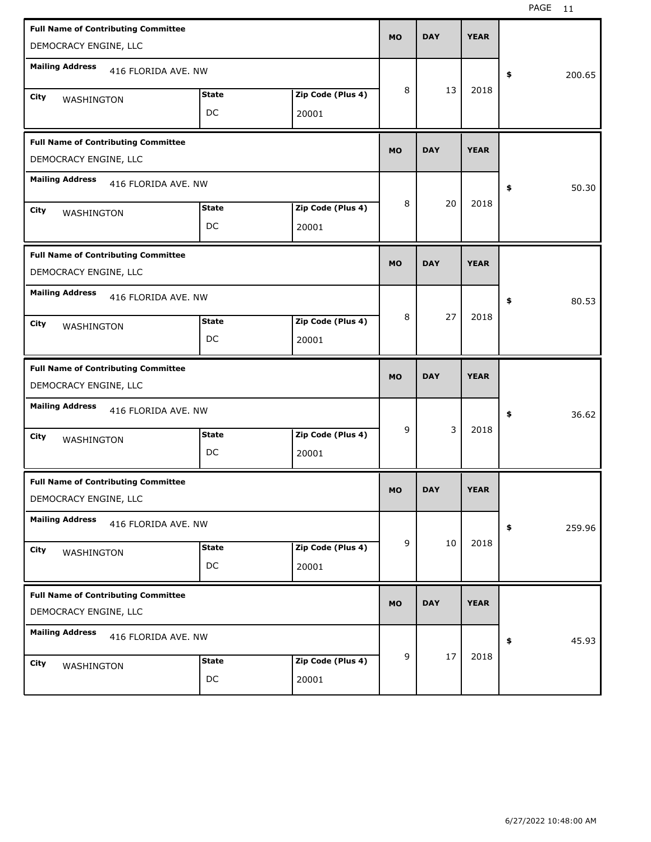| <b>Full Name of Contributing Committee</b><br>DEMOCRACY ENGINE, LLC |                    |                            | <b>MO</b> | <b>DAY</b> | <b>YEAR</b> |                      |
|---------------------------------------------------------------------|--------------------|----------------------------|-----------|------------|-------------|----------------------|
| <b>Mailing Address</b><br>416 FLORIDA AVE, NW                       |                    |                            |           |            |             | \$<br>200.65         |
| City<br>WASHINGTON                                                  | <b>State</b><br>DC | Zip Code (Plus 4)<br>20001 | 8         | 13         | 2018        |                      |
| <b>Full Name of Contributing Committee</b><br>DEMOCRACY ENGINE, LLC |                    |                            | <b>MO</b> | <b>DAY</b> | <b>YEAR</b> |                      |
| <b>Mailing Address</b><br>416 FLORIDA AVE. NW                       |                    |                            |           |            |             | $\clubsuit$<br>50.30 |
| City<br>WASHINGTON                                                  | <b>State</b><br>DC | Zip Code (Plus 4)<br>20001 | 8         | 20         | 2018        |                      |
| <b>Full Name of Contributing Committee</b><br>DEMOCRACY ENGINE, LLC |                    |                            | <b>MO</b> | <b>DAY</b> | <b>YEAR</b> |                      |
| <b>Mailing Address</b><br>416 FLORIDA AVE. NW                       |                    |                            |           |            |             | 80.53<br>\$          |
| City<br>WASHINGTON                                                  | <b>State</b><br>DC | Zip Code (Plus 4)<br>20001 | 8         | 27         | 2018        |                      |
|                                                                     |                    |                            |           |            |             |                      |
| <b>Full Name of Contributing Committee</b><br>DEMOCRACY ENGINE, LLC |                    |                            | <b>MO</b> | <b>DAY</b> | <b>YEAR</b> |                      |
| <b>Mailing Address</b><br>416 FLORIDA AVE. NW                       |                    |                            |           |            |             | 36.62<br>\$          |
| City<br>WASHINGTON                                                  | <b>State</b><br>DC | Zip Code (Plus 4)<br>20001 | 9         | 3          | 2018        |                      |
| <b>Full Name of Contributing Committee</b><br>DEMOCRACY ENGINE, LLC |                    |                            | <b>MO</b> | <b>DAY</b> | <b>YEAR</b> |                      |
| <b>Mailing Address</b><br>416 FLORIDA AVE. NW                       |                    |                            |           |            |             | \$<br>259.96         |
| City<br>WASHINGTON                                                  | <b>State</b><br>DC | Zip Code (Plus 4)<br>20001 | 9         | 10         | 2018        |                      |
| <b>Full Name of Contributing Committee</b><br>DEMOCRACY ENGINE, LLC |                    |                            | <b>MO</b> | <b>DAY</b> | <b>YEAR</b> |                      |
| <b>Mailing Address</b><br>416 FLORIDA AVE. NW                       |                    |                            | 9         | 17         | 2018        | 45.93<br>\$          |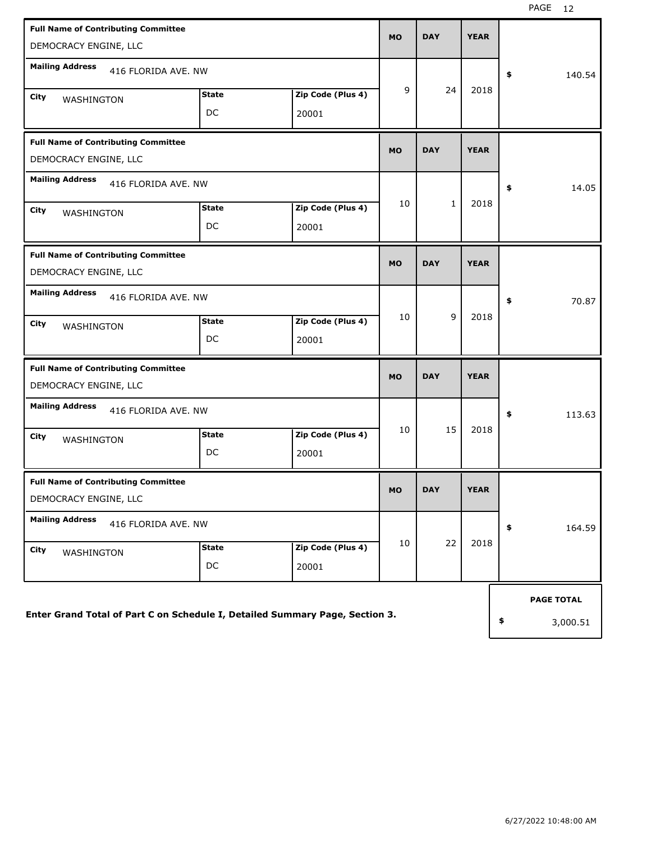| <b>Full Name of Contributing Committee</b><br>DEMOCRACY ENGINE, LLC          |                    |                            | <b>MO</b> | <b>DAY</b>   | <b>YEAR</b> |                   |
|------------------------------------------------------------------------------|--------------------|----------------------------|-----------|--------------|-------------|-------------------|
| <b>Mailing Address</b><br>416 FLORIDA AVE. NW                                |                    |                            |           |              |             | \$<br>140.54      |
| City<br>WASHINGTON                                                           | <b>State</b><br>DC | Zip Code (Plus 4)<br>20001 | 9         | 24           | 2018        |                   |
| <b>Full Name of Contributing Committee</b><br>DEMOCRACY ENGINE, LLC          |                    |                            | <b>MO</b> | <b>DAY</b>   | <b>YEAR</b> |                   |
| <b>Mailing Address</b><br>416 FLORIDA AVE. NW                                |                    |                            |           |              |             | \$<br>14.05       |
| City<br>WASHINGTON                                                           | <b>State</b><br>DC | Zip Code (Plus 4)<br>20001 | 10        | $\mathbf{1}$ | 2018        |                   |
| <b>Full Name of Contributing Committee</b><br>DEMOCRACY ENGINE, LLC          |                    |                            | <b>MO</b> | <b>DAY</b>   | <b>YEAR</b> |                   |
| <b>Mailing Address</b><br>416 FLORIDA AVE, NW                                |                    |                            |           |              |             | \$<br>70.87       |
| City<br><b>WASHINGTON</b>                                                    | <b>State</b><br>DC | Zip Code (Plus 4)<br>20001 | 10        | 9            | 2018        |                   |
| <b>Full Name of Contributing Committee</b><br>DEMOCRACY ENGINE, LLC          |                    |                            | <b>MO</b> | <b>DAY</b>   | <b>YEAR</b> |                   |
| <b>Mailing Address</b><br>416 FLORIDA AVE. NW                                |                    |                            |           |              |             | \$<br>113.63      |
| City<br>WASHINGTON                                                           | <b>State</b><br>DC | Zip Code (Plus 4)<br>20001 | 10        | 15           | 2018        |                   |
| <b>Full Name of Contributing Committee</b><br>DEMOCRACY ENGINE, LLC          |                    |                            | <b>MO</b> | <b>DAY</b>   | <b>YEAR</b> |                   |
| <b>Mailing Address</b><br>416 FLORIDA AVE. NW                                |                    |                            |           |              |             | \$<br>164.59      |
| City<br>WASHINGTON                                                           | <b>State</b><br>DC | Zip Code (Plus 4)<br>20001 | 10        | 22           | 2018        |                   |
|                                                                              |                    |                            |           |              |             | <b>PAGE TOTAL</b> |
| Enter Grand Total of Part C on Schedule I, Detailed Summary Page, Section 3. |                    |                            |           |              |             | \$<br>3,000.51    |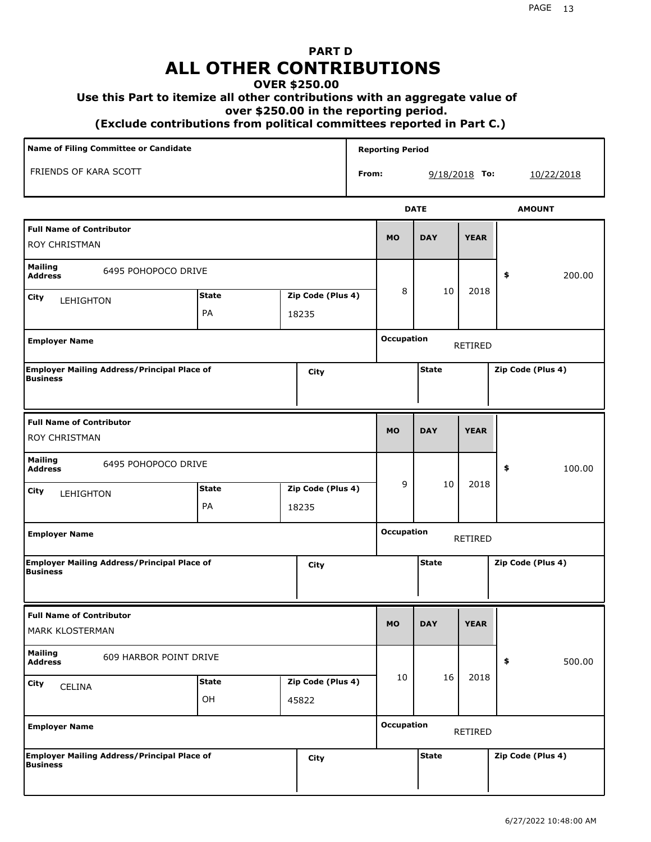# **PART D ALL OTHER CONTRIBUTIONS**

#### **OVER \$250.00**

#### **Use this Part to itemize all other contributions with an aggregate value of**

 **over \$250.00 in the reporting period.**

 **(Exclude contributions from political committees reported in Part C.)** 

| <b>Name of Filing Committee or Candidate</b>                          |              |       |                   |       | <b>Reporting Period</b>                |              |                |                   |
|-----------------------------------------------------------------------|--------------|-------|-------------------|-------|----------------------------------------|--------------|----------------|-------------------|
| FRIENDS OF KARA SCOTT                                                 |              |       |                   | From: |                                        |              | 9/18/2018 To:  | 10/22/2018        |
|                                                                       |              |       |                   |       |                                        | <b>DATE</b>  |                | <b>AMOUNT</b>     |
| <b>Full Name of Contributor</b><br>ROY CHRISTMAN                      |              |       |                   |       | <b>DAY</b><br><b>YEAR</b><br><b>MO</b> |              |                |                   |
| <b>Mailing</b><br>6495 POHOPOCO DRIVE<br><b>Address</b>               |              |       |                   |       |                                        |              |                | 200.00<br>\$      |
| <b>City</b><br><b>LEHIGHTON</b>                                       | <b>State</b> |       | Zip Code (Plus 4) |       | 8                                      | 10           | 2018           |                   |
|                                                                       | PA           | 18235 |                   |       |                                        |              |                |                   |
| <b>Employer Name</b>                                                  |              |       |                   |       | <b>Occupation</b>                      |              | RETIRED        |                   |
| <b>Employer Mailing Address/Principal Place of</b><br><b>Business</b> |              |       | City              |       |                                        | <b>State</b> |                | Zip Code (Plus 4) |
| <b>Full Name of Contributor</b><br>ROY CHRISTMAN                      |              |       |                   |       | <b>MO</b>                              | <b>DAY</b>   | <b>YEAR</b>    |                   |
| Mailing<br>6495 POHOPOCO DRIVE<br><b>Address</b>                      |              |       |                   |       |                                        |              |                | \$<br>100.00      |
| <b>City</b><br>LEHIGHTON                                              | <b>State</b> |       | Zip Code (Plus 4) |       | 9                                      | 10           | 2018           |                   |
|                                                                       | PA           | 18235 |                   |       |                                        |              |                |                   |
| <b>Employer Name</b>                                                  |              |       |                   |       | <b>Occupation</b>                      |              | <b>RETIRED</b> |                   |
| <b>Employer Mailing Address/Principal Place of</b><br><b>Business</b> |              |       | City              |       |                                        | <b>State</b> |                | Zip Code (Plus 4) |
| <b>Full Name of Contributor</b><br>MARK KLOSTERMAN                    |              |       |                   |       | <b>MO</b>                              | <b>DAY</b>   | <b>YEAR</b>    |                   |
| <b>Mailing</b><br>609 HARBOR POINT DRIVE<br><b>Address</b>            |              |       |                   |       |                                        |              |                | 500.00<br>\$      |
| <b>City</b><br>CELINA                                                 | <b>State</b> |       | Zip Code (Plus 4) |       | 10                                     | 16           | 2018           |                   |
|                                                                       | OH           | 45822 |                   |       |                                        |              |                |                   |
| <b>Employer Name</b>                                                  |              |       |                   |       | <b>Occupation</b>                      |              | RETIRED        |                   |
| <b>Employer Mailing Address/Principal Place of</b><br><b>Business</b> |              |       | City              |       |                                        | <b>State</b> |                | Zip Code (Plus 4) |
|                                                                       |              |       |                   |       |                                        |              |                |                   |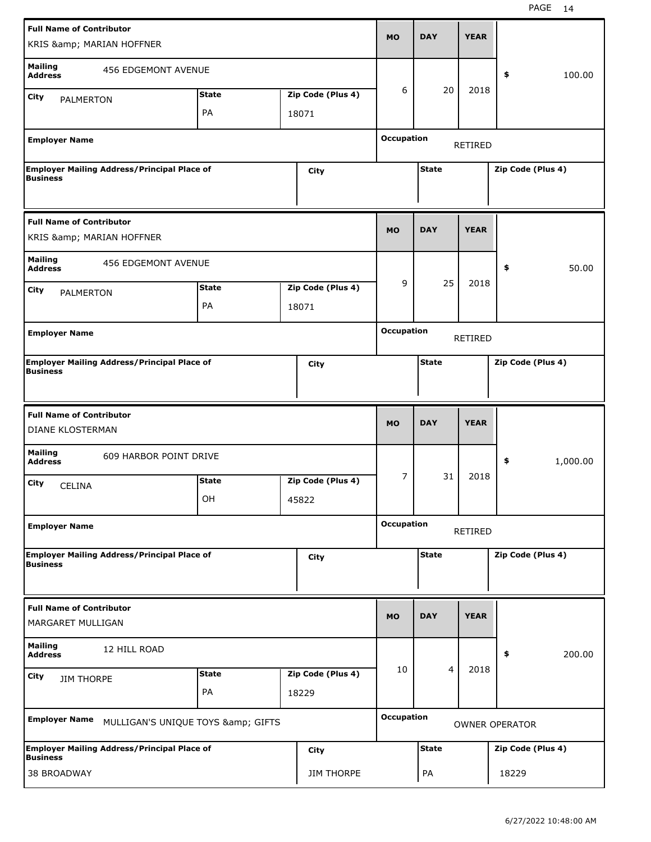| <b>Full Name of Contributor</b>                                       |              |       |                   |                   | <b>DAY</b>     | <b>YEAR</b>    |                       |  |
|-----------------------------------------------------------------------|--------------|-------|-------------------|-------------------|----------------|----------------|-----------------------|--|
| KRIS & MARIAN HOFFNER                                                 |              |       |                   | <b>MO</b>         |                |                |                       |  |
| <b>Mailing</b><br><b>456 EDGEMONT AVENUE</b><br><b>Address</b>        |              |       |                   |                   |                |                | 100.00<br>\$          |  |
| City<br><b>PALMERTON</b>                                              | <b>State</b> |       | Zip Code (Plus 4) | 6                 | 20             | 2018           |                       |  |
|                                                                       | PA           | 18071 |                   |                   |                |                |                       |  |
| <b>Employer Name</b>                                                  |              |       |                   | <b>Occupation</b> |                |                |                       |  |
|                                                                       |              |       |                   |                   |                | <b>RETIRED</b> |                       |  |
| <b>Employer Mailing Address/Principal Place of</b><br><b>Business</b> |              |       | City              |                   | <b>State</b>   |                | Zip Code (Plus 4)     |  |
|                                                                       |              |       |                   |                   |                |                |                       |  |
| <b>Full Name of Contributor</b><br>KRIS & MARIAN HOFFNER              |              |       |                   | <b>MO</b>         | <b>DAY</b>     | <b>YEAR</b>    |                       |  |
| <b>Mailing</b><br><b>456 EDGEMONT AVENUE</b><br><b>Address</b>        |              |       |                   |                   |                |                | \$<br>50.00           |  |
| City<br>PALMERTON                                                     | <b>State</b> |       | Zip Code (Plus 4) | 9                 | 25             | 2018           |                       |  |
|                                                                       | PA           | 18071 |                   |                   |                |                |                       |  |
| <b>Employer Name</b>                                                  |              |       |                   | <b>Occupation</b> |                |                |                       |  |
|                                                                       |              |       |                   |                   |                | RETIRED        |                       |  |
| <b>Employer Mailing Address/Principal Place of</b><br><b>Business</b> |              |       | City              |                   | <b>State</b>   |                | Zip Code (Plus 4)     |  |
|                                                                       |              |       |                   |                   |                |                |                       |  |
|                                                                       |              |       |                   |                   |                |                |                       |  |
| <b>Full Name of Contributor</b><br>DIANE KLOSTERMAN                   |              |       |                   | <b>MO</b>         | <b>DAY</b>     | <b>YEAR</b>    |                       |  |
| <b>Mailing</b><br>609 HARBOR POINT DRIVE                              |              |       |                   |                   |                |                |                       |  |
| <b>Address</b>                                                        |              |       |                   | 7                 | 31             | 2018           | \$<br>1,000.00        |  |
| City<br><b>CELINA</b>                                                 | <b>State</b> |       | Zip Code (Plus 4) |                   |                |                |                       |  |
|                                                                       | OH           | 45822 |                   |                   |                |                |                       |  |
| <b>Employer Name</b>                                                  |              |       |                   | <b>Occupation</b> |                | RETIRED        |                       |  |
| <b>Employer Mailing Address/Principal Place of</b>                    |              |       | City              |                   | <b>State</b>   |                | Zip Code (Plus 4)     |  |
| <b>Business</b>                                                       |              |       |                   |                   |                |                |                       |  |
| <b>Full Name of Contributor</b><br>MARGARET MULLIGAN                  |              |       |                   | <b>MO</b>         | <b>DAY</b>     | <b>YEAR</b>    |                       |  |
| <b>Mailing</b>                                                        |              |       |                   |                   |                |                |                       |  |
| 12 HILL ROAD<br><b>Address</b>                                        |              |       |                   |                   |                |                | 200.00<br>\$          |  |
| City<br><b>JIM THORPE</b>                                             | <b>State</b> |       | Zip Code (Plus 4) | 10                | $\overline{4}$ | 2018           |                       |  |
|                                                                       | PA           | 18229 |                   |                   |                |                |                       |  |
| <b>Employer Name</b><br>MULLIGAN'S UNIQUE TOYS & GIFTS                |              |       |                   | <b>Occupation</b> |                |                | <b>OWNER OPERATOR</b> |  |
| <b>Employer Mailing Address/Principal Place of</b><br><b>Business</b> |              |       | City              |                   | <b>State</b>   |                | Zip Code (Plus 4)     |  |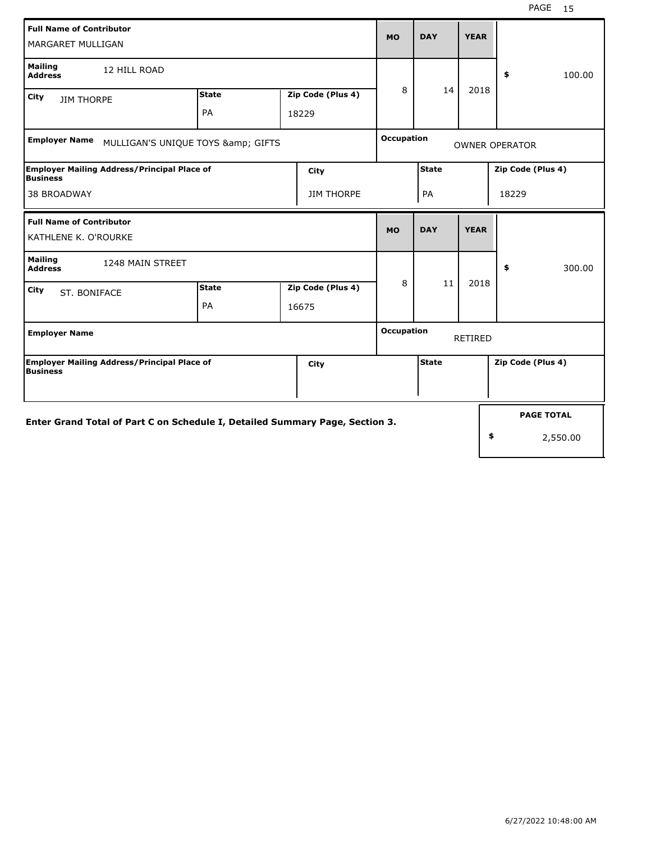| <b>Full Name of Contributor</b><br>MARGARET MULLIGAN                         |              | <b>MO</b>         | <b>DAY</b>        | <b>YEAR</b>       |              |             |                       |
|------------------------------------------------------------------------------|--------------|-------------------|-------------------|-------------------|--------------|-------------|-----------------------|
| <b>Mailing</b><br>12 HILL ROAD<br><b>Address</b>                             |              |                   |                   |                   |              |             | \$<br>100.00          |
| City<br><b>JIM THORPE</b>                                                    | <b>State</b> | Zip Code (Plus 4) |                   | 8                 | 14           | 2018        |                       |
|                                                                              | PA           |                   | 18229             |                   |              |             |                       |
| <b>Employer Name</b><br>MULLIGAN'S UNIQUE TOYS & GIFTS                       |              |                   |                   | <b>Occupation</b> |              |             | <b>OWNER OPERATOR</b> |
| <b>Employer Mailing Address/Principal Place of</b><br>Business               |              |                   | City              |                   | <b>State</b> |             | Zip Code (Plus 4)     |
| <b>38 BROADWAY</b>                                                           |              |                   | <b>JIM THORPE</b> |                   | PA           |             | 18229                 |
| <b>Full Name of Contributor</b><br>KATHLENE K. O'ROURKE                      |              |                   |                   | <b>MO</b>         | <b>DAY</b>   | <b>YEAR</b> |                       |
| <b>Mailing</b><br>1248 MAIN STREET<br><b>Address</b>                         |              |                   |                   |                   |              |             | \$<br>300.00          |
| City<br>ST. BONIFACE                                                         | <b>State</b> |                   | Zip Code (Plus 4) | 8                 | 11           | 2018        |                       |
|                                                                              | PA           |                   | 16675             |                   |              |             |                       |
| <b>Employer Name</b>                                                         |              |                   |                   | <b>Occupation</b> |              | RETIRED     |                       |
| <b>Employer Mailing Address/Principal Place of</b><br>Business               |              |                   | City              |                   | <b>State</b> |             | Zip Code (Plus 4)     |
|                                                                              |              |                   |                   |                   |              |             |                       |
| Enter Grand Total of Part C on Schedule I, Detailed Summary Page, Section 3. |              |                   |                   |                   |              |             | <b>PAGE TOTAL</b>     |
|                                                                              |              |                   |                   |                   |              |             | \$<br>2,550.00        |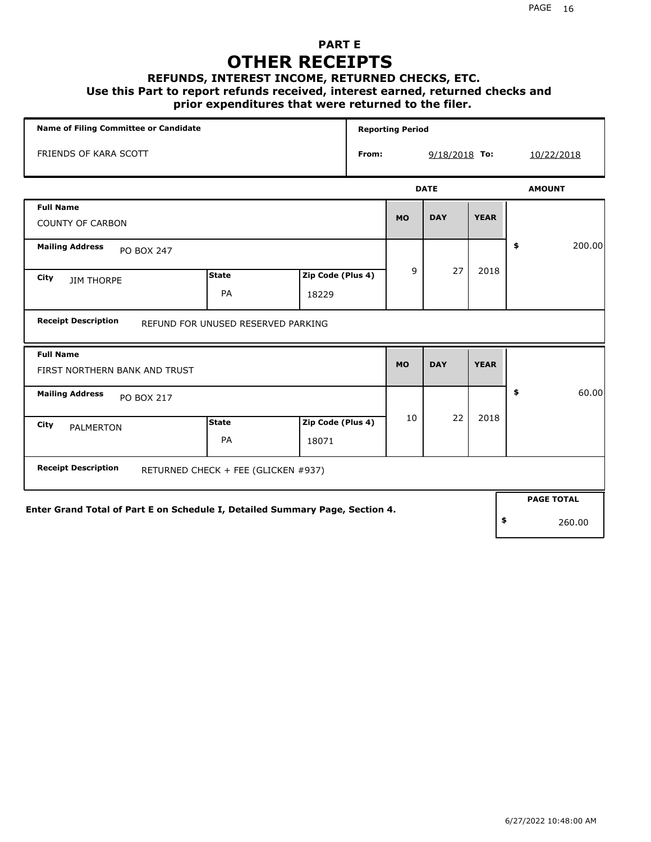### **PART E OTHER RECEIPTS**

#### **REFUNDS, INTEREST INCOME, RETURNED CHECKS, ETC.**

 **Use this Part to report refunds received, interest earned, returned checks and**

### **prior expenditures that were returned to the filer.**

| <b>Name of Filing Committee or Candidate</b>                                 |                                     |                   |       | <b>Reporting Period</b> |             |             |            |                   |
|------------------------------------------------------------------------------|-------------------------------------|-------------------|-------|-------------------------|-------------|-------------|------------|-------------------|
| FRIENDS OF KARA SCOTT                                                        |                                     |                   | From: | 9/18/2018 To:           |             |             | 10/22/2018 |                   |
|                                                                              |                                     |                   |       |                         | <b>DATE</b> |             |            | <b>AMOUNT</b>     |
| <b>Full Name</b>                                                             |                                     |                   |       |                         |             |             |            |                   |
| <b>COUNTY OF CARBON</b>                                                      |                                     |                   |       | <b>MO</b>               | <b>DAY</b>  | <b>YEAR</b> |            |                   |
| <b>Mailing Address</b><br><b>PO BOX 247</b>                                  |                                     |                   |       |                         |             |             | \$         | 200.00            |
| City<br><b>JIM THORPE</b>                                                    | <b>State</b>                        | Zip Code (Plus 4) |       | 9                       | 27          | 2018        |            |                   |
|                                                                              | PA                                  | 18229             |       |                         |             |             |            |                   |
| <b>Receipt Description</b>                                                   | REFUND FOR UNUSED RESERVED PARKING  |                   |       |                         |             |             |            |                   |
| <b>Full Name</b><br>FIRST NORTHERN BANK AND TRUST                            |                                     |                   |       | <b>MO</b>               | <b>DAY</b>  | <b>YEAR</b> |            |                   |
| <b>Mailing Address</b><br><b>PO BOX 217</b>                                  |                                     |                   |       |                         |             |             | \$         | 60.00             |
| City<br><b>PALMERTON</b>                                                     | <b>State</b>                        | Zip Code (Plus 4) |       | 10                      | 22          | 2018        |            |                   |
|                                                                              | PA                                  | 18071             |       |                         |             |             |            |                   |
| <b>Receipt Description</b>                                                   | RETURNED CHECK + FEE (GLICKEN #937) |                   |       |                         |             |             |            |                   |
|                                                                              |                                     |                   |       |                         |             |             |            | <b>PAGE TOTAL</b> |
| Enter Grand Total of Part E on Schedule I, Detailed Summary Page, Section 4. |                                     |                   |       |                         |             |             |            |                   |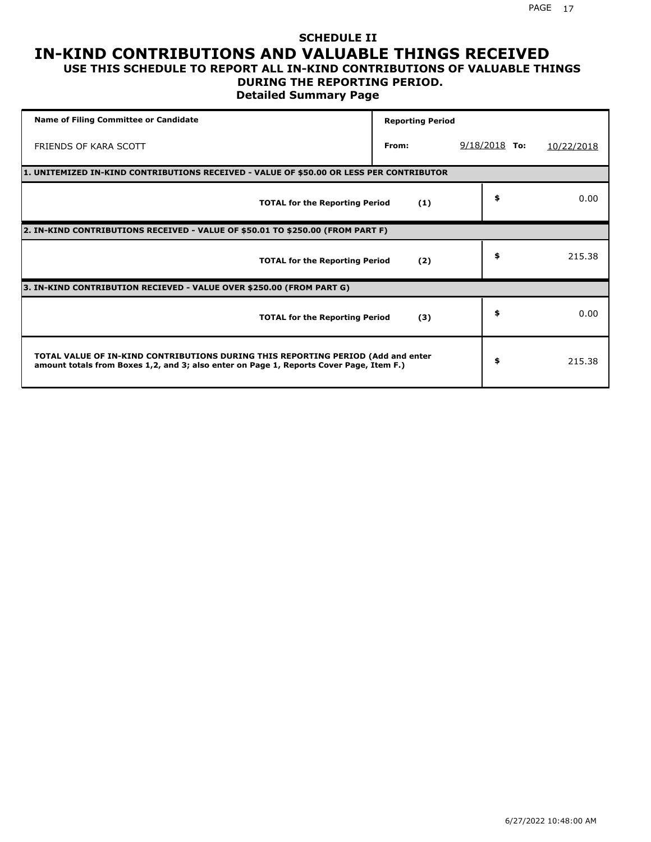### **SCHEDULE II IN-KIND CONTRIBUTIONS AND VALUABLE THINGS RECEIVED USE THIS SCHEDULE TO REPORT ALL IN-KIND CONTRIBUTIONS OF VALUABLE THINGS**

### **DURING THE REPORTING PERIOD.**

**Detailed Summary Page**

| <b>Name of Filing Committee or Candidate</b>                                                                                                                                | <b>Reporting Period</b> |                 |            |  |  |  |  |  |  |
|-----------------------------------------------------------------------------------------------------------------------------------------------------------------------------|-------------------------|-----------------|------------|--|--|--|--|--|--|
| FRIENDS OF KARA SCOTT                                                                                                                                                       | From:                   | $9/18/2018$ To: | 10/22/2018 |  |  |  |  |  |  |
| 1. UNITEMIZED IN-KIND CONTRIBUTIONS RECEIVED - VALUE OF \$50.00 OR LESS PER CONTRIBUTOR                                                                                     |                         |                 |            |  |  |  |  |  |  |
| <b>TOTAL for the Reporting Period</b>                                                                                                                                       | (1)                     | \$              | 0.00       |  |  |  |  |  |  |
| 2. IN-KIND CONTRIBUTIONS RECEIVED - VALUE OF \$50.01 TO \$250.00 (FROM PART F)                                                                                              |                         |                 |            |  |  |  |  |  |  |
| <b>TOTAL for the Reporting Period</b>                                                                                                                                       | (2)                     | \$              | 215.38     |  |  |  |  |  |  |
| 3. IN-KIND CONTRIBUTION RECIEVED - VALUE OVER \$250.00 (FROM PART G)                                                                                                        |                         |                 |            |  |  |  |  |  |  |
| <b>TOTAL for the Reporting Period</b>                                                                                                                                       | (3)                     | \$              | 0.00       |  |  |  |  |  |  |
| TOTAL VALUE OF IN-KIND CONTRIBUTIONS DURING THIS REPORTING PERIOD (Add and enter<br>amount totals from Boxes 1,2, and 3; also enter on Page 1, Reports Cover Page, Item F.) |                         | \$              | 215.38     |  |  |  |  |  |  |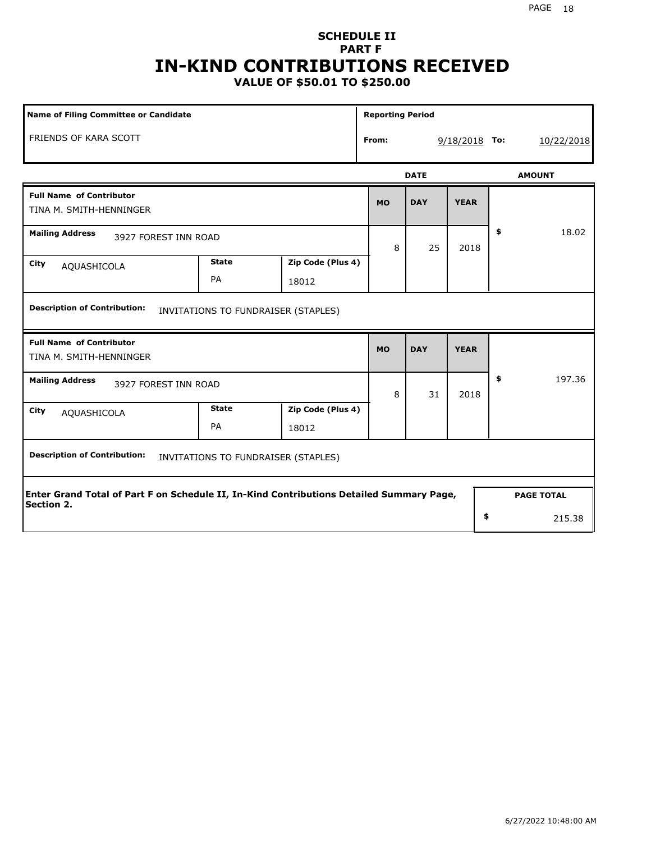## **SCHEDULE II PART F IN-KIND CONTRIBUTIONS RECEIVED**

**VALUE OF \$50.01 TO \$250.00**

| Name of Filing Committee or Candidate                                                    |              |                                     |                          | <b>Reporting Period</b> |             |    |                   |  |
|------------------------------------------------------------------------------------------|--------------|-------------------------------------|--------------------------|-------------------------|-------------|----|-------------------|--|
| FRIENDS OF KARA SCOTT                                                                    |              |                                     | From:<br>$9/18/2018$ To: |                         |             |    | 10/22/2018        |  |
|                                                                                          |              |                                     |                          | <b>DATE</b>             |             |    | <b>AMOUNT</b>     |  |
| <b>Full Name of Contributor</b><br>TINA M. SMITH-HENNINGER                               |              |                                     | <b>MO</b>                | <b>DAY</b>              | <b>YEAR</b> |    |                   |  |
| <b>Mailing Address</b><br>3927 FOREST INN ROAD                                           |              |                                     | 8                        | 25                      | 2018        | \$ | 18.02             |  |
| City<br>AQUASHICOLA                                                                      | <b>State</b> | Zip Code (Plus 4)                   |                          |                         |             |    |                   |  |
|                                                                                          | PA           | 18012                               |                          |                         |             |    |                   |  |
| <b>Full Name of Contributor</b><br>TINA M. SMITH-HENNINGER                               |              |                                     | <b>MO</b>                | <b>DAY</b>              | <b>YEAR</b> |    |                   |  |
| <b>Mailing Address</b><br>3927 FOREST INN ROAD                                           |              |                                     | 8                        | 31                      | 2018        | \$ | 197.36            |  |
| City<br>AQUASHICOLA                                                                      | <b>State</b> | Zip Code (Plus 4)                   |                          |                         |             |    |                   |  |
|                                                                                          | PA           | 18012                               |                          |                         |             |    |                   |  |
| <b>Description of Contribution:</b>                                                      |              | INVITATIONS TO FUNDRAISER (STAPLES) |                          |                         |             |    |                   |  |
| Enter Grand Total of Part F on Schedule II, In-Kind Contributions Detailed Summary Page, |              |                                     |                          |                         |             |    | <b>PAGE TOTAL</b> |  |
| Section 2.                                                                               |              |                                     |                          |                         |             | \$ | 215.38            |  |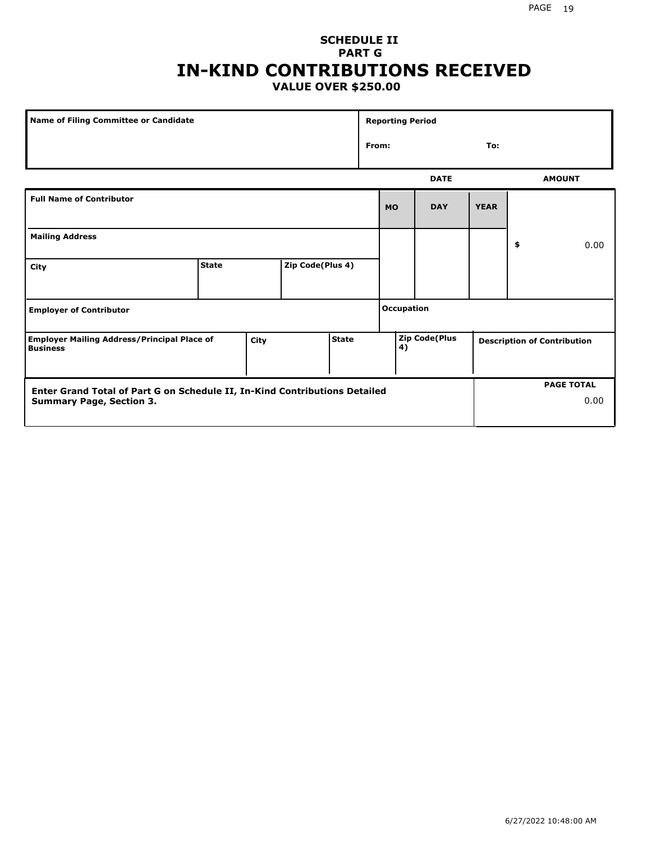### **SCHEDULE II PART G IN-KIND CONTRIBUTIONS RECEIVED VALUE OVER \$250.00**

| Name of Filing Committee or Candidate                                 |              |      |                  |              | <b>Reporting Period</b> |                     |             |                                    |    |               |
|-----------------------------------------------------------------------|--------------|------|------------------|--------------|-------------------------|---------------------|-------------|------------------------------------|----|---------------|
|                                                                       |              |      |                  |              |                         | From:<br>To:        |             |                                    |    |               |
|                                                                       |              |      |                  |              |                         |                     | <b>DATE</b> |                                    |    | <b>AMOUNT</b> |
| <b>Full Name of Contributor</b>                                       |              |      |                  |              |                         | <b>MO</b>           | <b>DAY</b>  | <b>YEAR</b>                        |    |               |
| <b>Mailing Address</b>                                                |              |      |                  |              |                         |                     |             |                                    | \$ | 0.00          |
| City                                                                  | <b>State</b> |      | Zip Code(Plus 4) |              |                         |                     |             |                                    |    |               |
| <b>Employer of Contributor</b>                                        |              |      |                  |              | <b>Occupation</b>       |                     |             |                                    |    |               |
| <b>Employer Mailing Address/Principal Place of</b><br><b>Business</b> |              | City |                  | <b>State</b> |                         | Zip Code(Plus<br>4) |             | <b>Description of Contribution</b> |    |               |

| <b>Enter Grand Total of Part G on Schedule II, In-Kind Contributions Detailed</b> |  | <b>PAGE TOTAL</b> |
|-----------------------------------------------------------------------------------|--|-------------------|
| <b>Summary Page, Section 3.</b>                                                   |  | 0.00              |
|                                                                                   |  |                   |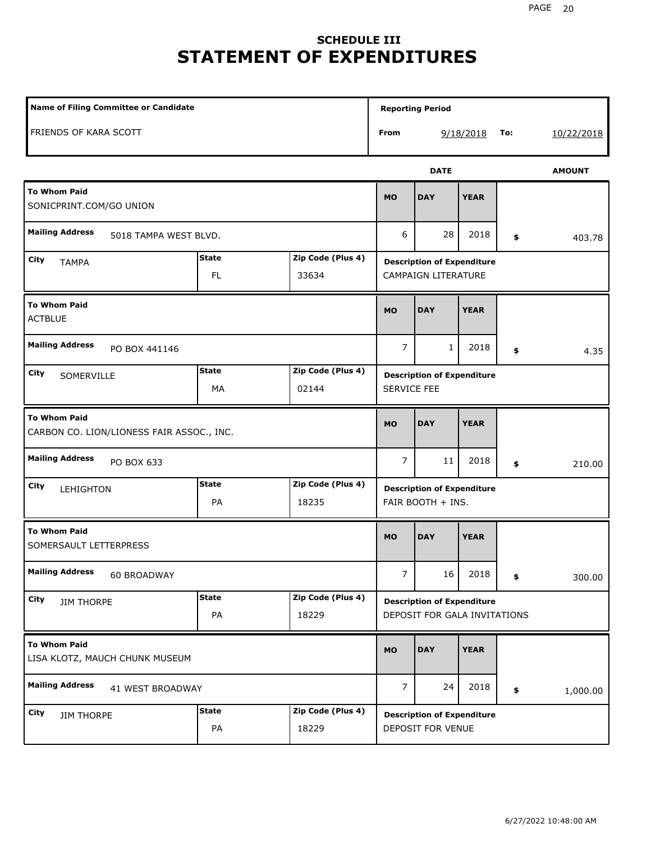# **SCHEDULE III STATEMENT OF EXPENDITURES**

| Name of Filing Committee or Candidate                            | <b>Reporting Period</b>                                    |                                                                 |                                                        |                                                                   |             |     |               |  |
|------------------------------------------------------------------|------------------------------------------------------------|-----------------------------------------------------------------|--------------------------------------------------------|-------------------------------------------------------------------|-------------|-----|---------------|--|
| FRIENDS OF KARA SCOTT                                            |                                                            |                                                                 | From                                                   |                                                                   | 9/18/2018   | To: | 10/22/2018    |  |
|                                                                  |                                                            |                                                                 |                                                        | <b>DATE</b>                                                       |             |     | <b>AMOUNT</b> |  |
| <b>To Whom Paid</b><br>SONICPRINT.COM/GO UNION                   |                                                            |                                                                 | <b>MO</b>                                              | <b>DAY</b>                                                        | <b>YEAR</b> |     |               |  |
| <b>Mailing Address</b>                                           | 5018 TAMPA WEST BLVD.<br><b>State</b><br>Zip Code (Plus 4) |                                                                 |                                                        |                                                                   |             | \$  | 403.78        |  |
| City<br><b>TAMPA</b>                                             |                                                            | <b>Description of Expenditure</b><br><b>CAMPAIGN LITERATURE</b> |                                                        |                                                                   |             |     |               |  |
| <b>To Whom Paid</b><br><b>ACTBLUE</b>                            | <b>MO</b>                                                  | <b>DAY</b>                                                      | <b>YEAR</b>                                            |                                                                   |             |     |               |  |
| <b>Mailing Address</b><br>PO BOX 441146                          |                                                            |                                                                 | $\overline{7}$                                         | 1                                                                 | 2018        | \$  | 4.35          |  |
| City<br>SOMERVILLE                                               | <b>State</b><br>MA                                         | Zip Code (Plus 4)<br>02144                                      | <b>Description of Expenditure</b><br>SERVICE FEE       |                                                                   |             |     |               |  |
| <b>To Whom Paid</b><br>CARBON CO. LION/LIONESS FAIR ASSOC., INC. |                                                            |                                                                 | <b>MO</b>                                              | <b>DAY</b>                                                        | <b>YEAR</b> |     |               |  |
| <b>Mailing Address</b><br>PO BOX 633                             |                                                            |                                                                 | $\overline{7}$                                         | 11                                                                | 2018        | \$  | 210.00        |  |
| <b>City</b><br>LEHIGHTON                                         | <b>State</b><br>PA                                         | Zip Code (Plus 4)<br>18235                                      | <b>Description of Expenditure</b><br>FAIR BOOTH + INS. |                                                                   |             |     |               |  |
| <b>To Whom Paid</b><br>SOMERSAULT LETTERPRESS                    |                                                            |                                                                 | <b>MO</b>                                              | <b>DAY</b>                                                        | <b>YEAR</b> |     |               |  |
| <b>Mailing Address</b><br>60 BROADWAY                            |                                                            |                                                                 | 7 <sup>7</sup>                                         | 16                                                                | 2018        | \$  | 300.00        |  |
| City<br><b>JIM THORPE</b>                                        | <b>State</b><br>PA                                         | Zip Code (Plus 4)<br>18229                                      |                                                        | <b>Description of Expenditure</b><br>DEPOSIT FOR GALA INVITATIONS |             |     |               |  |
| <b>To Whom Paid</b><br>LISA KLOTZ, MAUCH CHUNK MUSEUM            |                                                            |                                                                 | <b>MO</b>                                              | <b>DAY</b>                                                        | <b>YEAR</b> |     |               |  |
| <b>Mailing Address</b><br>41 WEST BROADWAY                       |                                                            |                                                                 | $\overline{7}$                                         | 24                                                                | 2018        | \$  | 1,000.00      |  |
| City<br><b>JIM THORPE</b>                                        | <b>State</b><br>PA                                         | Zip Code (Plus 4)<br>18229                                      |                                                        | <b>Description of Expenditure</b><br>DEPOSIT FOR VENUE            |             |     |               |  |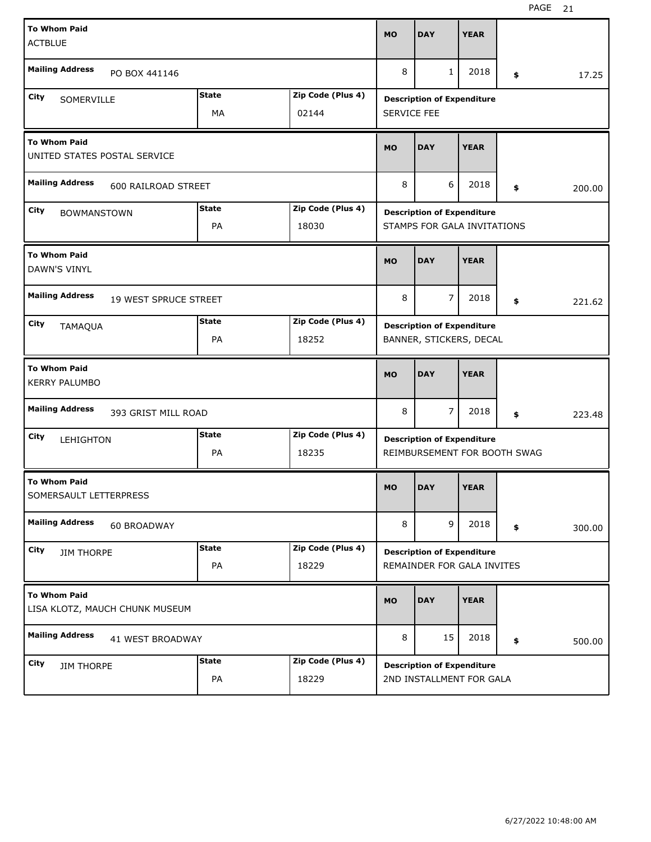| <b>To Whom Paid</b><br><b>ACTBLUE</b>         |                                |              |                                   | <b>MO</b>                         | <b>DAY</b>                                                        | <b>YEAR</b> |    |        |  |  |  |
|-----------------------------------------------|--------------------------------|--------------|-----------------------------------|-----------------------------------|-------------------------------------------------------------------|-------------|----|--------|--|--|--|
| <b>Mailing Address</b>                        | PO BOX 441146                  |              |                                   | 8                                 | $\mathbf{1}$                                                      | 2018        | \$ | 17.25  |  |  |  |
| City<br>SOMERVILLE                            |                                | <b>State</b> | Zip Code (Plus 4)                 | <b>Description of Expenditure</b> |                                                                   |             |    |        |  |  |  |
|                                               |                                | MA           | 02144                             | SERVICE FEE                       |                                                                   |             |    |        |  |  |  |
| <b>To Whom Paid</b>                           | UNITED STATES POSTAL SERVICE   |              |                                   | <b>MO</b>                         | <b>DAY</b>                                                        | <b>YEAR</b> |    |        |  |  |  |
| <b>Mailing Address</b><br>600 RAILROAD STREET |                                |              |                                   |                                   | 6                                                                 | 2018        | \$ | 200.00 |  |  |  |
| City<br><b>BOWMANSTOWN</b>                    | Zip Code (Plus 4)              |              | <b>Description of Expenditure</b> |                                   |                                                                   |             |    |        |  |  |  |
|                                               |                                | PA           | 18030                             |                                   | STAMPS FOR GALA INVITATIONS                                       |             |    |        |  |  |  |
| <b>To Whom Paid</b><br>DAWN'S VINYL           |                                |              |                                   | <b>MO</b>                         | <b>DAY</b>                                                        | <b>YEAR</b> |    |        |  |  |  |
| <b>Mailing Address</b>                        | <b>19 WEST SPRUCE STREET</b>   |              |                                   | 8                                 | $\overline{7}$                                                    | 2018        | \$ | 221.62 |  |  |  |
| City<br><b>TAMAQUA</b>                        |                                | <b>State</b> | Zip Code (Plus 4)                 |                                   | <b>Description of Expenditure</b>                                 |             |    |        |  |  |  |
|                                               |                                | PA           | 18252                             |                                   | BANNER, STICKERS, DECAL                                           |             |    |        |  |  |  |
|                                               |                                |              |                                   |                                   |                                                                   |             |    |        |  |  |  |
| <b>To Whom Paid</b><br><b>KERRY PALUMBO</b>   |                                |              |                                   | <b>MO</b>                         | <b>DAY</b>                                                        | <b>YEAR</b> |    |        |  |  |  |
| <b>Mailing Address</b>                        | 393 GRIST MILL ROAD            |              |                                   | 8                                 | 7                                                                 | 2018        | \$ | 223.48 |  |  |  |
| City                                          |                                | State        | Zip Code (Plus 4)                 |                                   |                                                                   |             |    |        |  |  |  |
| LEHIGHTON                                     |                                | PA           | 18235                             |                                   | <b>Description of Expenditure</b><br>REIMBURSEMENT FOR BOOTH SWAG |             |    |        |  |  |  |
| <b>To Whom Paid</b><br>SOMERSAULT LETTERPRESS |                                |              |                                   | <b>MO</b>                         | <b>DAY</b>                                                        | <b>YEAR</b> |    |        |  |  |  |
| <b>Mailing Address</b>                        | 60 BROADWAY                    |              |                                   | 8                                 | 9                                                                 | 2018        | \$ | 300.00 |  |  |  |
| City                                          |                                | <b>State</b> | Zip Code (Plus 4)                 |                                   | <b>Description of Expenditure</b>                                 |             |    |        |  |  |  |
| <b>JIM THORPE</b>                             |                                | PA           | 18229                             |                                   | REMAINDER FOR GALA INVITES                                        |             |    |        |  |  |  |
| <b>To Whom Paid</b>                           | LISA KLOTZ, MAUCH CHUNK MUSEUM |              |                                   | <b>MO</b>                         | <b>DAY</b>                                                        | <b>YEAR</b> |    |        |  |  |  |
| <b>Mailing Address</b>                        | 41 WEST BROADWAY               |              |                                   | 8                                 | 15                                                                | 2018        | \$ | 500.00 |  |  |  |
| City<br><b>JIM THORPE</b>                     |                                | <b>State</b> | Zip Code (Plus 4)                 |                                   | <b>Description of Expenditure</b>                                 |             |    |        |  |  |  |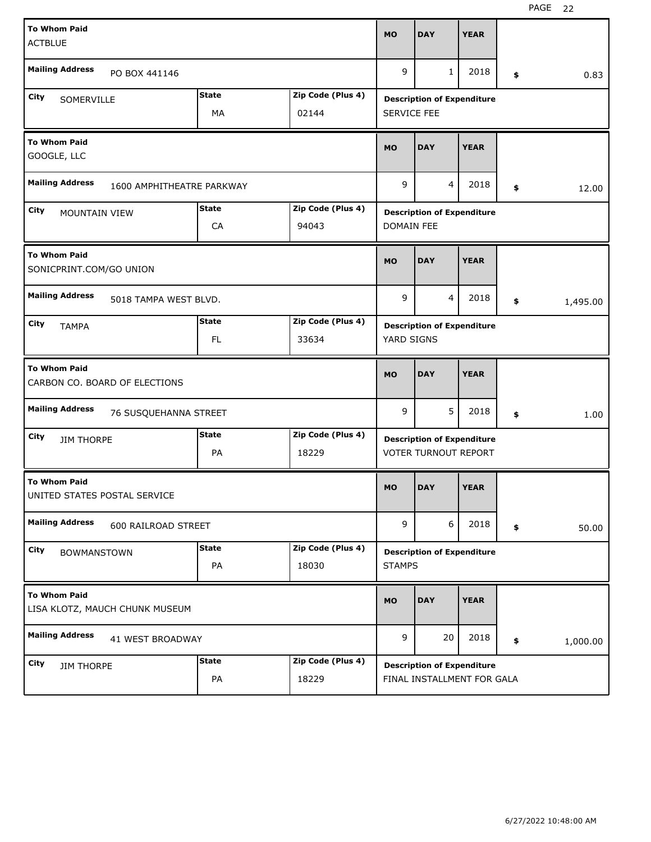| <b>To Whom Paid</b>                                  |                                |                                   |                   | <b>MO</b>                         | <b>DAY</b>                        | <b>YEAR</b> |    |          |  |
|------------------------------------------------------|--------------------------------|-----------------------------------|-------------------|-----------------------------------|-----------------------------------|-------------|----|----------|--|
| <b>ACTBLUE</b>                                       |                                |                                   |                   |                                   |                                   |             |    |          |  |
| <b>Mailing Address</b>                               | PO BOX 441146                  |                                   |                   | 9                                 | $\mathbf{1}$                      | 2018        | \$ | 0.83     |  |
| City<br>SOMERVILLE                                   |                                | <b>State</b>                      | Zip Code (Plus 4) | <b>Description of Expenditure</b> |                                   |             |    |          |  |
|                                                      |                                | MA                                | 02144             | SERVICE FEE                       |                                   |             |    |          |  |
| <b>To Whom Paid</b><br>GOOGLE, LLC                   | <b>MO</b>                      | <b>DAY</b>                        | <b>YEAR</b>       |                                   |                                   |             |    |          |  |
| <b>Mailing Address</b><br>1600 AMPHITHEATRE PARKWAY  |                                |                                   |                   |                                   | 4                                 | 2018        | \$ | 12.00    |  |
| City<br>MOUNTAIN VIEW                                |                                | <b>Description of Expenditure</b> |                   |                                   |                                   |             |    |          |  |
|                                                      |                                | CA                                | 94043             | <b>DOMAIN FEE</b>                 |                                   |             |    |          |  |
| <b>To Whom Paid</b><br>SONICPRINT.COM/GO UNION       |                                |                                   |                   | <b>MO</b>                         | <b>DAY</b>                        | <b>YEAR</b> |    |          |  |
| <b>Mailing Address</b>                               | 5018 TAMPA WEST BLVD.          |                                   |                   | 9                                 | $\overline{4}$                    | 2018        | \$ | 1,495.00 |  |
| City<br><b>TAMPA</b>                                 |                                | <b>State</b>                      | Zip Code (Plus 4) |                                   | <b>Description of Expenditure</b> |             |    |          |  |
| FL.<br>33634                                         |                                |                                   |                   |                                   | YARD SIGNS                        |             |    |          |  |
| <b>To Whom Paid</b><br>CARBON CO. BOARD OF ELECTIONS |                                |                                   |                   |                                   |                                   |             |    |          |  |
|                                                      |                                |                                   |                   | <b>MO</b>                         | <b>DAY</b>                        | <b>YEAR</b> |    |          |  |
| <b>Mailing Address</b>                               | 76 SUSQUEHANNA STREET          |                                   |                   | 9                                 | 5                                 | 2018        | \$ | 1.00     |  |
| City<br><b>JIM THORPE</b>                            |                                | State                             | Zip Code (Plus 4) |                                   | <b>Description of Expenditure</b> |             |    |          |  |
|                                                      |                                | PA                                | 18229             |                                   | <b>VOTER TURNOUT REPORT</b>       |             |    |          |  |
| <b>To Whom Paid</b><br>UNITED STATES POSTAL SERVICE  |                                |                                   |                   | <b>MO</b>                         | <b>DAY</b>                        | <b>YEAR</b> |    |          |  |
| <b>Mailing Address</b>                               | 600 RAILROAD STREET            |                                   |                   | 9                                 | 6                                 | 2018        | \$ | 50.00    |  |
| City<br><b>BOWMANSTOWN</b>                           |                                | <b>State</b>                      | Zip Code (Plus 4) |                                   | <b>Description of Expenditure</b> |             |    |          |  |
|                                                      |                                | PA                                | 18030             | <b>STAMPS</b>                     |                                   |             |    |          |  |
| <b>To Whom Paid</b>                                  | LISA KLOTZ, MAUCH CHUNK MUSEUM |                                   |                   | <b>MO</b>                         | <b>DAY</b>                        | <b>YEAR</b> |    |          |  |
| <b>Mailing Address</b>                               | 41 WEST BROADWAY               |                                   |                   | 9                                 | 20                                | 2018        | \$ | 1,000.00 |  |
| City<br><b>JIM THORPE</b>                            |                                | <b>State</b>                      | Zip Code (Plus 4) |                                   | <b>Description of Expenditure</b> |             |    |          |  |

H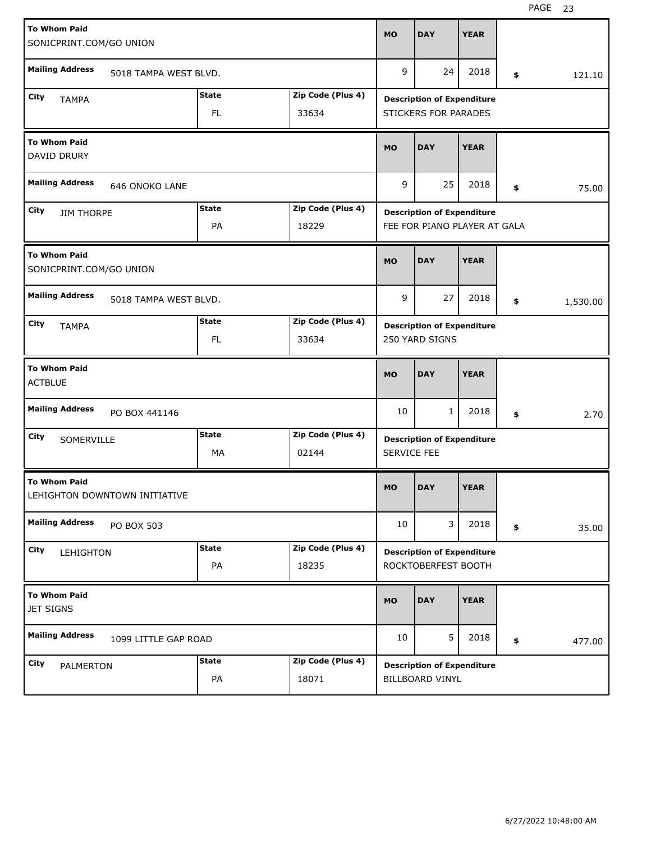| <b>To Whom Paid</b><br>SONICPRINT.COM/GO UNION                 |                                                 |                               |                             |                   | <b>MO</b>   | <b>DAY</b>                                               | <b>YEAR</b> |                |      |
|----------------------------------------------------------------|-------------------------------------------------|-------------------------------|-----------------------------|-------------------|-------------|----------------------------------------------------------|-------------|----------------|------|
|                                                                | <b>Mailing Address</b>                          | 5018 TAMPA WEST BLVD.         |                             |                   | 9           | 24                                                       | 2018        | \$<br>121.10   |      |
| City                                                           | <b>TAMPA</b>                                    |                               | <b>State</b>                | Zip Code (Plus 4) |             | <b>Description of Expenditure</b>                        |             |                |      |
|                                                                |                                                 |                               | FL.                         | 33634             |             | <b>STICKERS FOR PARADES</b>                              |             |                |      |
| <b>To Whom Paid</b><br>DAVID DRURY                             |                                                 |                               |                             |                   |             | <b>DAY</b>                                               | <b>YEAR</b> |                |      |
|                                                                | <b>Mailing Address</b><br><b>646 ONOKO LANE</b> |                               |                             |                   |             | 25                                                       | 2018        | \$<br>75.00    |      |
| <b>State</b><br>Zip Code (Plus 4)<br>City<br><b>JIM THORPE</b> |                                                 |                               |                             |                   |             | <b>Description of Expenditure</b>                        |             |                |      |
|                                                                |                                                 |                               | PA                          | 18229             |             | FEE FOR PIANO PLAYER AT GALA                             |             |                |      |
| <b>To Whom Paid</b>                                            |                                                 | SONICPRINT.COM/GO UNION       |                             |                   | <b>MO</b>   | <b>DAY</b>                                               | <b>YEAR</b> |                |      |
|                                                                | <b>Mailing Address</b>                          | 5018 TAMPA WEST BLVD.         |                             |                   | 9           | 27                                                       | 2018        | \$<br>1,530.00 |      |
| City                                                           |                                                 |                               | <b>State</b>                | Zip Code (Plus 4) |             | <b>Description of Expenditure</b>                        |             |                |      |
|                                                                |                                                 |                               | <b>TAMPA</b><br>FL<br>33634 |                   |             |                                                          |             |                |      |
| <b>To Whom Paid</b><br><b>ACTBLUE</b>                          |                                                 |                               |                             |                   |             |                                                          |             |                |      |
|                                                                |                                                 |                               |                             |                   | <b>MO</b>   | <b>DAY</b>                                               | <b>YEAR</b> |                |      |
|                                                                | <b>Mailing Address</b>                          | PO BOX 441146                 |                             |                   | 10          | $\mathbf{1}$                                             | 2018        | \$             | 2.70 |
|                                                                |                                                 |                               | <b>State</b>                | Zip Code (Plus 4) |             |                                                          |             |                |      |
| City                                                           | SOMERVILLE                                      |                               | МA                          | 02144             | SERVICE FEE | <b>Description of Expenditure</b>                        |             |                |      |
| <b>To Whom Paid</b>                                            |                                                 | LEHIGHTON DOWNTOWN INITIATIVE |                             |                   | <b>MO</b>   | <b>DAY</b>                                               | <b>YEAR</b> |                |      |
|                                                                | <b>Mailing Address</b>                          | PO BOX 503                    |                             |                   | 10          | 3                                                        | 2018        | \$<br>35.00    |      |
|                                                                |                                                 |                               | <b>State</b>                | Zip Code (Plus 4) |             |                                                          |             |                |      |
| City                                                           | LEHIGHTON                                       |                               | PA                          | 18235             |             | <b>Description of Expenditure</b><br>ROCKTOBERFEST BOOTH |             |                |      |
| <b>To Whom Paid</b><br><b>JET SIGNS</b>                        |                                                 |                               |                             |                   | <b>MO</b>   | <b>DAY</b>                                               | <b>YEAR</b> |                |      |
|                                                                | <b>Mailing Address</b>                          | 1099 LITTLE GAP ROAD          |                             |                   | 10          | 5                                                        | 2018        | \$<br>477.00   |      |
| City                                                           | PALMERTON                                       |                               | <b>State</b>                | Zip Code (Plus 4) |             | <b>Description of Expenditure</b>                        |             |                |      |

H